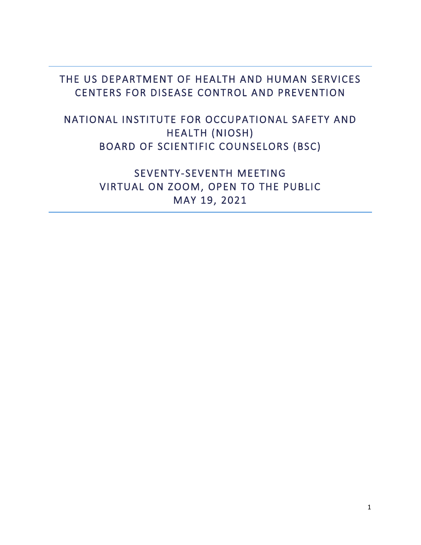### THE US DEPARTMENT OF HEALTH AND HUMAN SERVICES CENTERS FOR DISEASE CONTROL AND PREVENTION

### NATIONAL INSTITUTE FOR OCCUPATIONAL SAFETY AND HEALTH (NIOSH) BOARD OF SCIENTIFIC COUNSELORS (BSC)

### SEVENTY-SEVENTH MEETING VIRTUAL ON ZOOM, OPEN TO THE PUBLIC MAY 19, 2021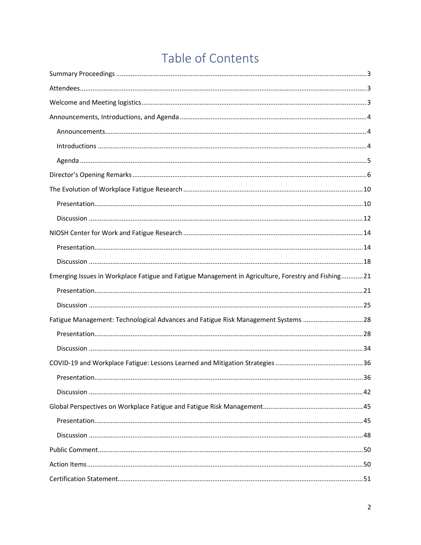# Table of Contents

| Emerging Issues in Workplace Fatigue and Fatigue Management in Agriculture, Forestry and Fishing21 |  |
|----------------------------------------------------------------------------------------------------|--|
|                                                                                                    |  |
|                                                                                                    |  |
| Fatigue Management: Technological Advances and Fatigue Risk Management Systems 28                  |  |
|                                                                                                    |  |
|                                                                                                    |  |
|                                                                                                    |  |
|                                                                                                    |  |
|                                                                                                    |  |
|                                                                                                    |  |
|                                                                                                    |  |
|                                                                                                    |  |
|                                                                                                    |  |
|                                                                                                    |  |
|                                                                                                    |  |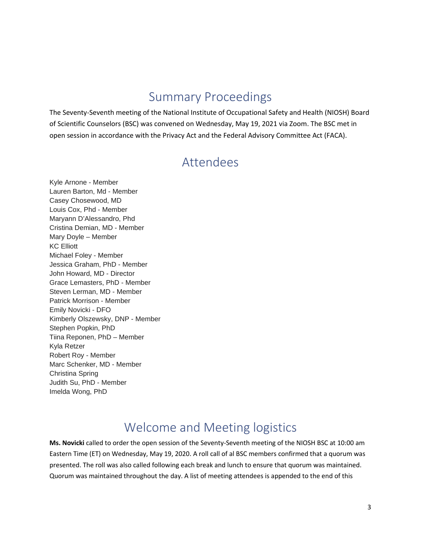## Summary Proceedings

<span id="page-2-0"></span>The Seventy-Seventh meeting of the National Institute of Occupational Safety and Health (NIOSH) Board of Scientific Counselors (BSC) was convened on Wednesday, May 19, 2021 via Zoom. The BSC met in open session in accordance with the Privacy Act and the Federal Advisory Committee Act (FACA).

### Attendees

<span id="page-2-1"></span>Kyle Arnone - Member Lauren Barton, Md - Member Casey Chosewood, MD Louis Cox, Phd - Member Maryann D'Alessandro, Phd Cristina Demian, MD - Member Mary Doyle – Member KC Elliott Michael Foley - Member Jessica Graham, PhD - Member John Howard, MD - Director Grace Lemasters, PhD - Member Steven Lerman, MD - Member Patrick Morrison - Member Emily Novicki - DFO Kimberly Olszewsky, DNP - Member Stephen Popkin, PhD Tiina Reponen, PhD – Member Kyla Retzer Robert Roy - Member Marc Schenker, MD - Member Christina Spring Judith Su, PhD - Member Imelda Wong, PhD

## Welcome and Meeting logistics

<span id="page-2-2"></span>**Ms. Novicki** called to order the open session of the Seventy-Seventh meeting of the NIOSH BSC at 10:00 am Eastern Time (ET) on Wednesday, May 19, 2020. A roll call of al BSC members confirmed that a quorum was presented. The roll was also called following each break and lunch to ensure that quorum was maintained. Quorum was maintained throughout the day. A list of meeting attendees is appended to the end of this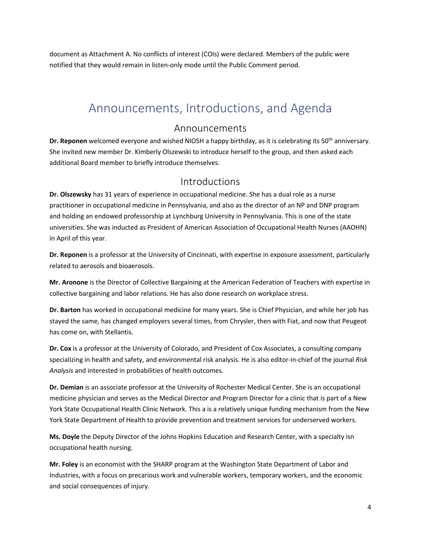document as Attachment A. No conflicts of interest (COIs) were declared. Members of the public were notified that they would remain in listen-only mode until the Public Comment period.

## <span id="page-3-0"></span>Announcements, Introductions, and Agenda

#### Announcements

<span id="page-3-1"></span>**Dr. Reponen** welcomed everyone and wished NIOSH a happy birthday, as it is celebrating its 50th anniversary. She invited new member Dr. Kimberly Olszewski to introduce herself to the group, and then asked each additional Board member to briefly introduce themselves.

#### Introductions

<span id="page-3-2"></span>**Dr. Olszewsky** has 31 years of experience in occupational medicine. She has a dual role as a nurse practitioner in occupational medicine in Pennsylvania, and also as the director of an NP and DNP program and holding an endowed professorship at Lynchburg University in Pennsylvania. This is one of the state universities. She was inducted as President of American Association of Occupational Health Nurses (AAOHN) in April of this year.

**Dr. Reponen** is a professor at the University of Cincinnati, with expertise in exposure assessment, particularly related to aerosols and bioaerosols.

**Mr. Aronone** is the Director of Collective Bargaining at the American Federation of Teachers with expertise in collective bargaining and labor relations. He has also done research on workplace stress.

**Dr. Barton** has worked in occupational medicine for many years. She is Chief Physician, and while her job has stayed the same, has changed employers several times, from Chrysler, then with Fiat, and now that Peugeot has come on, with Stellantis.

**Dr. Cox** is a professor at the University of Colorado, and President of Cox Associates, a consulting company specializing in health and safety, and environmental risk analysis. He is also editor-in-chief of the journal *Risk Analysis* and interested in probabilities of health outcomes.

**Dr. Demian** is an associate professor at the University of Rochester Medical Center. She is an occupational medicine physician and serves as the Medical Director and Program Director for a clinic that is part of a New York State Occupational Health Clinic Network. This a is a relatively unique funding mechanism from the New York State Department of Health to provide prevention and treatment services for underserved workers.

**Ms. Doyle** the Deputy Director of the Johns Hopkins Education and Research Center, with a specialty isn occupational health nursing.

**Mr. Foley** is an economist with the SHARP program at the Washington State Department of Labor and Industries, with a focus on precarious work and vulnerable workers, temporary workers, and the economic and social consequences of injury.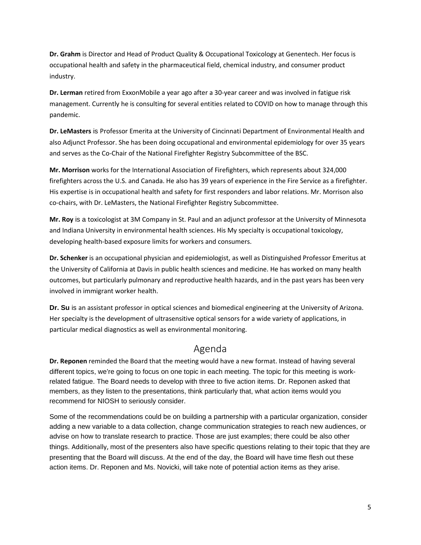**Dr. Grahm** is Director and Head of Product Quality & Occupational Toxicology at Genentech. Her focus is occupational health and safety in the pharmaceutical field, chemical industry, and consumer product industry.

**Dr. Lerman** retired from ExxonMobile a year ago after a 30-year career and was involved in fatigue risk management. Currently he is consulting for several entities related to COVID on how to manage through this pandemic.

**Dr. LeMasters** is Professor Emerita at the University of Cincinnati Department of Environmental Health and also Adjunct Professor. She has been doing occupational and environmental epidemiology for over 35 years and serves as the Co-Chair of the National Firefighter Registry Subcommittee of the BSC.

**Mr. Morrison** works for the International Association of Firefighters, which represents about 324,000 firefighters across the U.S. and Canada. He also has 39 years of experience in the Fire Service as a firefighter. His expertise is in occupational health and safety for first responders and labor relations. Mr. Morrison also co-chairs, with Dr. LeMasters, the National Firefighter Registry Subcommittee.

**Mr. Roy** is a toxicologist at 3M Company in St. Paul and an adjunct professor at the University of Minnesota and Indiana University in environmental health sciences. His My specialty is occupational toxicology, developing health-based exposure limits for workers and consumers.

**Dr. Schenker** is an occupational physician and epidemiologist, as well as Distinguished Professor Emeritus at the University of California at Davis in public health sciences and medicine. He has worked on many health outcomes, but particularly pulmonary and reproductive health hazards, and in the past years has been very involved in immigrant worker health.

**Dr. Su** is an assistant professor in optical sciences and biomedical engineering at the University of Arizona. Her specialty is the development of ultrasensitive optical sensors for a wide variety of applications, in particular medical diagnostics as well as environmental monitoring.

### Agenda

<span id="page-4-0"></span>**Dr. Reponen** reminded the Board that the meeting would have a new format. Instead of having several different topics, we're going to focus on one topic in each meeting. The topic for this meeting is workrelated fatigue. The Board needs to develop with three to five action items. Dr. Reponen asked that members, as they listen to the presentations, think particularly that, what action items would you recommend for NIOSH to seriously consider.

Some of the recommendations could be on building a partnership with a particular organization, consider adding a new variable to a data collection, change communication strategies to reach new audiences, or advise on how to translate research to practice. Those are just examples; there could be also other things. Additionally, most of the presenters also have specific questions relating to their topic that they are presenting that the Board will discuss. At the end of the day, the Board will have time flesh out these action items. Dr. Reponen and Ms. Novicki, will take note of potential action items as they arise.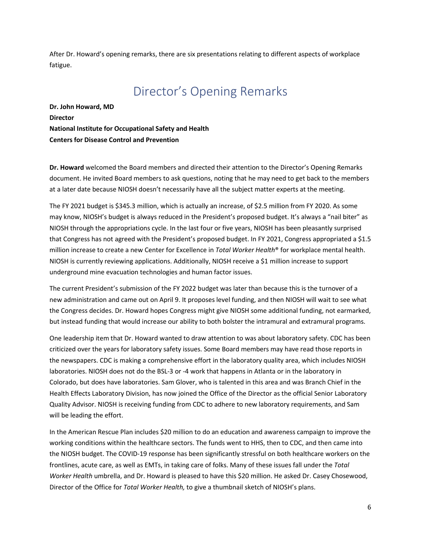<span id="page-5-0"></span>After Dr. Howard's opening remarks, there are six presentations relating to different aspects of workplace fatigue.

## Director's Opening Remarks

**Dr. John Howard, MD Director National Institute for Occupational Safety and Health Centers for Disease Control and Prevention**

**Dr. Howard** welcomed the Board members and directed their attention to the Director's Opening Remarks document. He invited Board members to ask questions, noting that he may need to get back to the members at a later date because NIOSH doesn't necessarily have all the subject matter experts at the meeting.

The FY 2021 budget is \$345.3 million, which is actually an increase, of \$2.5 million from FY 2020. As some may know, NIOSH's budget is always reduced in the President's proposed budget. It's always a "nail biter" as NIOSH through the appropriations cycle. In the last four or five years, NIOSH has been pleasantly surprised that Congress has not agreed with the President's proposed budget. In FY 2021, Congress appropriated a \$1.5 million increase to create a new Center for Excellence in *Total Worker Health*® for workplace mental health. NIOSH is currently reviewing applications. Additionally, NIOSH receive a \$1 million increase to support underground mine evacuation technologies and human factor issues.

The current President's submission of the FY 2022 budget was later than because this is the turnover of a new administration and came out on April 9. It proposes level funding, and then NIOSH will wait to see what the Congress decides. Dr. Howard hopes Congress might give NIOSH some additional funding, not earmarked, but instead funding that would increase our ability to both bolster the intramural and extramural programs.

One leadership item that Dr. Howard wanted to draw attention to was about laboratory safety. CDC has been criticized over the years for laboratory safety issues. Some Board members may have read those reports in the newspapers. CDC is making a comprehensive effort in the laboratory quality area, which includes NIOSH laboratories. NIOSH does not do the BSL-3 or -4 work that happens in Atlanta or in the laboratory in Colorado, but does have laboratories. Sam Glover, who is talented in this area and was Branch Chief in the Health Effects Laboratory Division, has now joined the Office of the Director as the official Senior Laboratory Quality Advisor. NIOSH is receiving funding from CDC to adhere to new laboratory requirements, and Sam will be leading the effort.

In the American Rescue Plan includes \$20 million to do an education and awareness campaign to improve the working conditions within the healthcare sectors. The funds went to HHS, then to CDC, and then came into the NIOSH budget. The COVID-19 response has been significantly stressful on both healthcare workers on the frontlines, acute care, as well as EMTs, in taking care of folks. Many of these issues fall under the *Total Worker Health* umbrella, and Dr. Howard is pleased to have this \$20 million. He asked Dr. Casey Chosewood, Director of the Office for *Total Worker Health,* to give a thumbnail sketch of NIOSH's plans.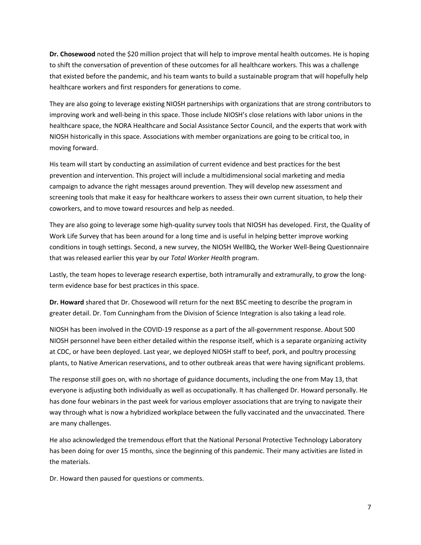**Dr. Chosewood** noted the \$20 million project that will help to improve mental health outcomes. He is hoping to shift the conversation of prevention of these outcomes for all healthcare workers. This was a challenge that existed before the pandemic, and his team wants to build a sustainable program that will hopefully help healthcare workers and first responders for generations to come.

They are also going to leverage existing NIOSH partnerships with organizations that are strong contributors to improving work and well-being in this space. Those include NIOSH's close relations with labor unions in the healthcare space, the NORA Healthcare and Social Assistance Sector Council, and the experts that work with NIOSH historically in this space. Associations with member organizations are going to be critical too, in moving forward.

His team will start by conducting an assimilation of current evidence and best practices for the best prevention and intervention. This project will include a multidimensional social marketing and media campaign to advance the right messages around prevention. They will develop new assessment and screening tools that make it easy for healthcare workers to assess their own current situation, to help their coworkers, and to move toward resources and help as needed.

They are also going to leverage some high-quality survey tools that NIOSH has developed. First, the Quality of Work Life Survey that has been around for a long time and is useful in helping better improve working conditions in tough settings. Second, a new survey, the NIOSH WellBQ, the Worker Well-Being Questionnaire that was released earlier this year by our *Total Worker Health* program.

Lastly, the team hopes to leverage research expertise, both intramurally and extramurally, to grow the longterm evidence base for best practices in this space.

**Dr. Howard** shared that Dr. Chosewood will return for the next BSC meeting to describe the program in greater detail. Dr. Tom Cunningham from the Division of Science Integration is also taking a lead role.

NIOSH has been involved in the COVID-19 response as a part of the all-government response. About 500 NIOSH personnel have been either detailed within the response itself, which is a separate organizing activity at CDC, or have been deployed. Last year, we deployed NIOSH staff to beef, pork, and poultry processing plants, to Native American reservations, and to other outbreak areas that were having significant problems.

The response still goes on, with no shortage of guidance documents, including the one from May 13, that everyone is adjusting both individually as well as occupationally. It has challenged Dr. Howard personally. He has done four webinars in the past week for various employer associations that are trying to navigate their way through what is now a hybridized workplace between the fully vaccinated and the unvaccinated. There are many challenges.

He also acknowledged the tremendous effort that the National Personal Protective Technology Laboratory has been doing for over 15 months, since the beginning of this pandemic. Their many activities are listed in the materials.

Dr. Howard then paused for questions or comments.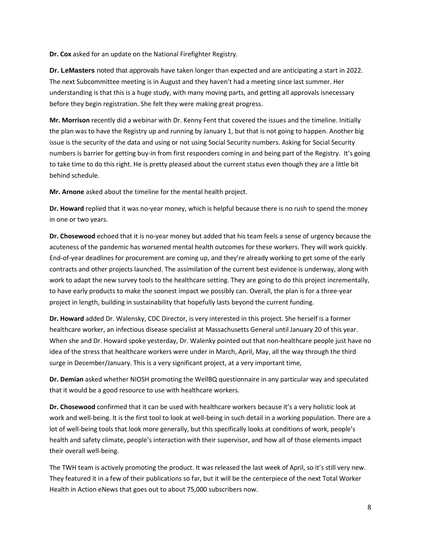**Dr. Cox** asked for an update on the National Firefighter Registry.

**Dr. LeMasters** noted that approvals have taken longer than expected and are anticipating a start in 2022. The next Subcommittee meeting is in August and they haven't had a meeting since last summer. Her understanding is that this is a huge study, with many moving parts, and getting all approvals isnecessary before they begin registration. She felt they were making great progress.

**Mr. Morrison** recently did a webinar with Dr. Kenny Fent that covered the issues and the timeline. Initially the plan was to have the Registry up and running by January 1, but that is not going to happen. Another big issue is the security of the data and using or not using Social Security numbers. Asking for Social Security numbers is barrier for getting buy-in from first responders coming in and being part of the Registry. It's going to take time to do this right. He is pretty pleased about the current status even though they are a little bit behind schedule.

**Mr. Arnone** asked about the timeline for the mental health project.

**Dr. Howard** replied that it was no-year money, which is helpful because there is no rush to spend the money in one or two years.

**Dr. Chosewood** echoed that it is no-year money but added that his team feels a sense of urgency because the acuteness of the pandemic has worsened mental health outcomes for these workers. They will work quickly. End-of-year deadlines for procurement are coming up, and they're already working to get some of the early contracts and other projects launched. The assimilation of the current best evidence is underway, along with work to adapt the new survey tools to the healthcare setting. They are going to do this project incrementally, to have early products to make the soonest impact we possibly can. Overall, the plan is for a three-year project in length, building in sustainability that hopefully lasts beyond the current funding.

**Dr. Howard** added Dr. Walensky, CDC Director, is very interested in this project. She herself is a former healthcare worker, an infectious disease specialist at Massachusetts General until January 20 of this year. When she and Dr. Howard spoke yesterday, Dr. Walenky pointed out that non-healthcare people just have no idea of the stress that healthcare workers were under in March, April, May, all the way through the third surge in December/January. This is a very significant project, at a very important time,

**Dr. Demian** asked whether NIOSH promoting the WellBQ questionnaire in any particular way and speculated that it would be a good resource to use with healthcare workers.

**Dr. Chosewood** confirmed that it can be used with healthcare workers because it's a very holistic look at work and well-being. It is the first tool to look at well-being in such detail in a working population. There are a lot of well-being tools that look more generally, but this specifically looks at conditions of work, people's health and safety climate, people's interaction with their supervisor, and how all of those elements impact their overall well-being.

The TWH team is actively promoting the product. It was released the last week of April, so it's still very new. They featured it in a few of their publications so far, but it will be the centerpiece of the next Total Worker Health in Action eNews that goes out to about 75,000 subscribers now.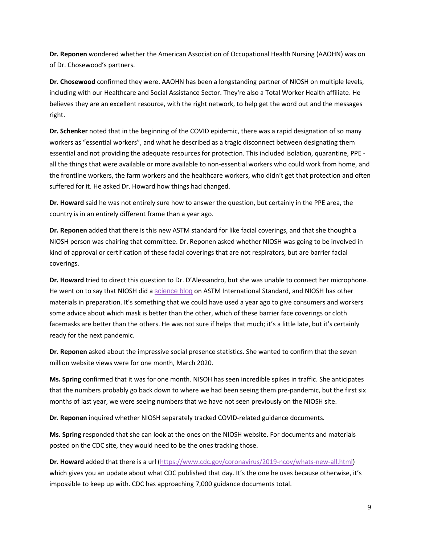**Dr. Reponen** wondered whether the American Association of Occupational Health Nursing (AAOHN) was on of Dr. Chosewood's partners.

**Dr. Chosewood** confirmed they were. AAOHN has been a longstanding partner of NIOSH on multiple levels, including with our Healthcare and Social Assistance Sector. They're also a Total Worker Health affiliate. He believes they are an excellent resource, with the right network, to help get the word out and the messages right.

**Dr. Schenker** noted that in the beginning of the COVID epidemic, there was a rapid designation of so many workers as "essential workers", and what he described as a tragic disconnect between designating them essential and not providing the adequate resources for protection. This included isolation, quarantine, PPE all the things that were available or more available to non-essential workers who could work from home, and the frontline workers, the farm workers and the healthcare workers, who didn't get that protection and often suffered for it. He asked Dr. Howard how things had changed.

**Dr. Howard** said he was not entirely sure how to answer the question, but certainly in the PPE area, the country is in an entirely different frame than a year ago.

**Dr. Reponen** added that there is this new ASTM standard for like facial coverings, and that she thought a NIOSH person was chairing that committee. Dr. Reponen asked whether NIOSH was going to be involved in kind of approval or certification of these facial coverings that are not respirators, but are barrier facial coverings.

**Dr. Howard** tried to direct this question to Dr. D'Alessandro, but she was unable to connect her microphone. He went on to say that NIOSH did a [science blog](https://blogs.cdc.gov/niosh-science-blog/2021/04/23/bfc-standard/) on ASTM International Standard, and NIOSH has other materials in preparation. It's something that we could have used a year ago to give consumers and workers some advice about which mask is better than the other, which of these barrier face coverings or cloth facemasks are better than the others. He was not sure if helps that much; it's a little late, but it's certainly ready for the next pandemic.

**Dr. Reponen** asked about the impressive social presence statistics. She wanted to confirm that the seven million website views were for one month, March 2020.

**Ms. Spring** confirmed that it was for one month. NISOH has seen incredible spikes in traffic. She anticipates that the numbers probably go back down to where we had been seeing them pre-pandemic, but the first six months of last year, we were seeing numbers that we have not seen previously on the NIOSH site.

**Dr. Reponen** inquired whether NIOSH separately tracked COVID-related guidance documents.

**Ms. Spring** responded that she can look at the ones on the NIOSH website. For documents and materials posted on the CDC site, they would need to be the ones tracking those.

**Dr. Howard** added that there is a url [\(https://www.cdc.gov/coronavirus/2019-ncov/whats-new-all.html\)](https://www.cdc.gov/coronavirus/2019-ncov/whats-new-all.html) which gives you an update about what CDC published that day. It's the one he uses because otherwise, it's impossible to keep up with. CDC has approaching 7,000 guidance documents total.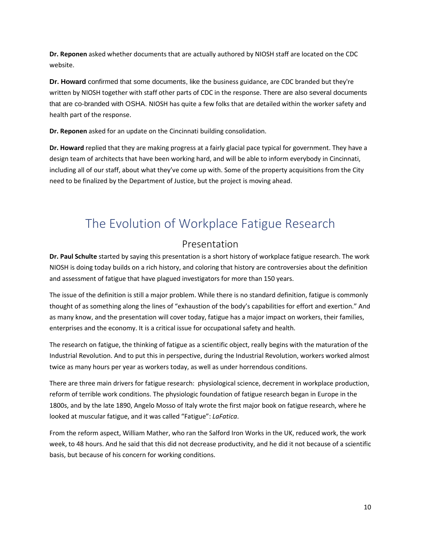**Dr. Reponen** asked whether documents that are actually authored by NIOSH staff are located on the CDC website.

**Dr. Howard** confirmed that some documents, like the business guidance, are CDC branded but they're written by NIOSH together with staff other parts of CDC in the response. There are also several documents that are co-branded with OSHA. NIOSH has quite a few folks that are detailed within the worker safety and health part of the response.

**Dr. Reponen** asked for an update on the Cincinnati building consolidation.

**Dr. Howard** replied that they are making progress at a fairly glacial pace typical for government. They have a design team of architects that have been working hard, and will be able to inform everybody in Cincinnati, including all of our staff, about what they've come up with. Some of the property acquisitions from the City need to be finalized by the Department of Justice, but the project is moving ahead.

# <span id="page-9-0"></span>The Evolution of Workplace Fatigue Research

### Presentation

<span id="page-9-1"></span>**Dr. Paul Schulte** started by saying this presentation is a short history of workplace fatigue research. The work NIOSH is doing today builds on a rich history, and coloring that history are controversies about the definition and assessment of fatigue that have plagued investigators for more than 150 years.

The issue of the definition is still a major problem. While there is no standard definition, fatigue is commonly thought of as something along the lines of "exhaustion of the body's capabilities for effort and exertion." And as many know, and the presentation will cover today, fatigue has a major impact on workers, their families, enterprises and the economy. It is a critical issue for occupational safety and health.

The research on fatigue, the thinking of fatigue as a scientific object, really begins with the maturation of the Industrial Revolution. And to put this in perspective, during the Industrial Revolution, workers worked almost twice as many hours per year as workers today, as well as under horrendous conditions.

There are three main drivers for fatigue research: physiological science, decrement in workplace production, reform of terrible work conditions. The physiologic foundation of fatigue research began in Europe in the 1800s, and by the late 1890, Angelo Mosso of Italy wrote the first major book on fatigue research, where he looked at muscular fatigue, and it was called "Fatigue": *LaFatica*.

From the reform aspect, William Mather, who ran the Salford Iron Works in the UK, reduced work, the work week, to 48 hours. And he said that this did not decrease productivity, and he did it not because of a scientific basis, but because of his concern for working conditions.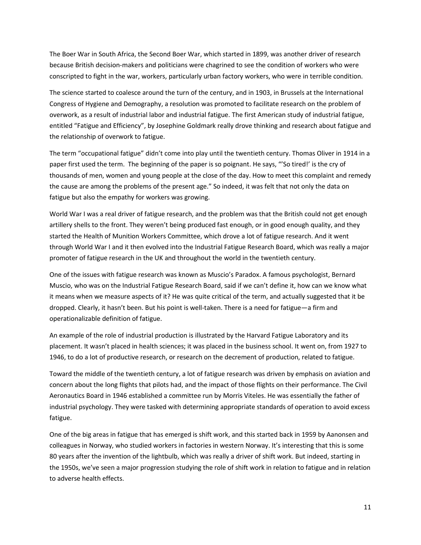The Boer War in South Africa, the Second Boer War, which started in 1899, was another driver of research because British decision-makers and politicians were chagrined to see the condition of workers who were conscripted to fight in the war, workers, particularly urban factory workers, who were in terrible condition.

The science started to coalesce around the turn of the century, and in 1903, in Brussels at the International Congress of Hygiene and Demography, a resolution was promoted to facilitate research on the problem of overwork, as a result of industrial labor and industrial fatigue. The first American study of industrial fatigue, entitled "Fatigue and Efficiency", by Josephine Goldmark really drove thinking and research about fatigue and the relationship of overwork to fatigue.

The term "occupational fatigue" didn't come into play until the twentieth century. Thomas Oliver in 1914 in a paper first used the term. The beginning of the paper is so poignant. He says, "'So tired!' is the cry of thousands of men, women and young people at the close of the day. How to meet this complaint and remedy the cause are among the problems of the present age." So indeed, it was felt that not only the data on fatigue but also the empathy for workers was growing.

World War I was a real driver of fatigue research, and the problem was that the British could not get enough artillery shells to the front. They weren't being produced fast enough, or in good enough quality, and they started the Health of Munition Workers Committee, which drove a lot of fatigue research. And it went through World War I and it then evolved into the Industrial Fatigue Research Board, which was really a major promoter of fatigue research in the UK and throughout the world in the twentieth century.

One of the issues with fatigue research was known as Muscio's Paradox. A famous psychologist, Bernard Muscio, who was on the Industrial Fatigue Research Board, said if we can't define it, how can we know what it means when we measure aspects of it? He was quite critical of the term, and actually suggested that it be dropped. Clearly, it hasn't been. But his point is well-taken. There is a need for fatigue—a firm and operationalizable definition of fatigue.

An example of the role of industrial production is illustrated by the Harvard Fatigue Laboratory and its placement. It wasn't placed in health sciences; it was placed in the business school. It went on, from 1927 to 1946, to do a lot of productive research, or research on the decrement of production, related to fatigue.

Toward the middle of the twentieth century, a lot of fatigue research was driven by emphasis on aviation and concern about the long flights that pilots had, and the impact of those flights on their performance. The Civil Aeronautics Board in 1946 established a committee run by Morris Viteles. He was essentially the father of industrial psychology. They were tasked with determining appropriate standards of operation to avoid excess fatigue.

One of the big areas in fatigue that has emerged is shift work, and this started back in 1959 by Aanonsen and colleagues in Norway, who studied workers in factories in western Norway. It's interesting that this is some 80 years after the invention of the lightbulb, which was really a driver of shift work. But indeed, starting in the 1950s, we've seen a major progression studying the role of shift work in relation to fatigue and in relation to adverse health effects.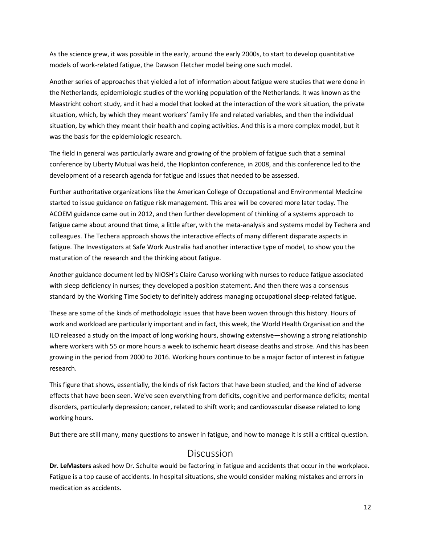As the science grew, it was possible in the early, around the early 2000s, to start to develop quantitative models of work-related fatigue, the Dawson Fletcher model being one such model.

Another series of approaches that yielded a lot of information about fatigue were studies that were done in the Netherlands, epidemiologic studies of the working population of the Netherlands. It was known as the Maastricht cohort study, and it had a model that looked at the interaction of the work situation, the private situation, which, by which they meant workers' family life and related variables, and then the individual situation, by which they meant their health and coping activities. And this is a more complex model, but it was the basis for the epidemiologic research.

The field in general was particularly aware and growing of the problem of fatigue such that a seminal conference by Liberty Mutual was held, the Hopkinton conference, in 2008, and this conference led to the development of a research agenda for fatigue and issues that needed to be assessed.

Further authoritative organizations like the American College of Occupational and Environmental Medicine started to issue guidance on fatigue risk management. This area will be covered more later today. The ACOEM guidance came out in 2012, and then further development of thinking of a systems approach to fatigue came about around that time, a little after, with the meta-analysis and systems model by Techera and colleagues. The Techera approach shows the interactive effects of many different disparate aspects in fatigue. The Investigators at Safe Work Australia had another interactive type of model, to show you the maturation of the research and the thinking about fatigue.

Another guidance document led by NIOSH's Claire Caruso working with nurses to reduce fatigue associated with sleep deficiency in nurses; they developed a position statement. And then there was a consensus standard by the Working Time Society to definitely address managing occupational sleep-related fatigue.

These are some of the kinds of methodologic issues that have been woven through this history. Hours of work and workload are particularly important and in fact, this week, the World Health Organisation and the ILO released a study on the impact of long working hours, showing extensive—showing a strong relationship where workers with 55 or more hours a week to ischemic heart disease deaths and stroke. And this has been growing in the period from 2000 to 2016. Working hours continue to be a major factor of interest in fatigue research.

This figure that shows, essentially, the kinds of risk factors that have been studied, and the kind of adverse effects that have been seen. We've seen everything from deficits, cognitive and performance deficits; mental disorders, particularly depression; cancer, related to shift work; and cardiovascular disease related to long working hours.

<span id="page-11-0"></span>But there are still many, many questions to answer in fatigue, and how to manage it is still a critical question.

### Discussion

**Dr. LeMasters** asked how Dr. Schulte would be factoring in fatigue and accidents that occur in the workplace. Fatigue is a top cause of accidents. In hospital situations, she would consider making mistakes and errors in medication as accidents.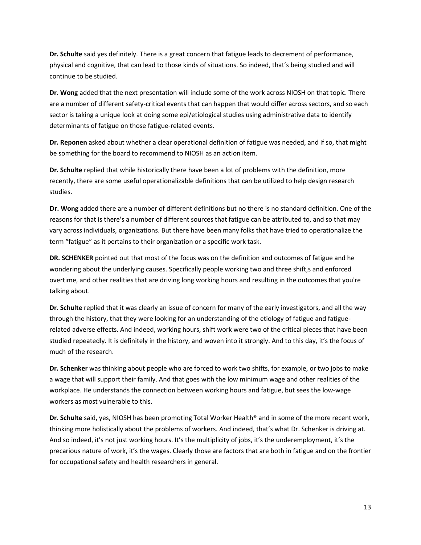**Dr. Schulte** said yes definitely. There is a great concern that fatigue leads to decrement of performance, physical and cognitive, that can lead to those kinds of situations. So indeed, that's being studied and will continue to be studied.

**Dr. Wong** added that the next presentation will include some of the work across NIOSH on that topic. There are a number of different safety-critical events that can happen that would differ across sectors, and so each sector is taking a unique look at doing some epi/etiological studies using administrative data to identify determinants of fatigue on those fatigue-related events.

**Dr. Reponen** asked about whether a clear operational definition of fatigue was needed, and if so, that might be something for the board to recommend to NIOSH as an action item.

**Dr. Schulte** replied that while historically there have been a lot of problems with the definition, more recently, there are some useful operationalizable definitions that can be utilized to help design research studies.

**Dr. Wong** added there are a number of different definitions but no there is no standard definition. One of the reasons for that is there's a number of different sources that fatigue can be attributed to, and so that may vary across individuals, organizations. But there have been many folks that have tried to operationalize the term "fatigue" as it pertains to their organization or a specific work task.

**DR. SCHENKER** pointed out that most of the focus was on the definition and outcomes of fatigue and he wondering about the underlying causes. Specifically people working two and three shift,s and enforced overtime, and other realities that are driving long working hours and resulting in the outcomes that you're talking about.

**Dr. Schulte** replied that it was clearly an issue of concern for many of the early investigators, and all the way through the history, that they were looking for an understanding of the etiology of fatigue and fatiguerelated adverse effects. And indeed, working hours, shift work were two of the critical pieces that have been studied repeatedly. It is definitely in the history, and woven into it strongly. And to this day, it's the focus of much of the research.

**Dr. Schenker** was thinking about people who are forced to work two shifts, for example, or two jobs to make a wage that will support their family. And that goes with the low minimum wage and other realities of the workplace. He understands the connection between working hours and fatigue, but sees the low-wage workers as most vulnerable to this.

**Dr. Schulte** said, yes, NIOSH has been promoting Total Worker Health® and in some of the more recent work, thinking more holistically about the problems of workers. And indeed, that's what Dr. Schenker is driving at. And so indeed, it's not just working hours. It's the multiplicity of jobs, it's the underemployment, it's the precarious nature of work, it's the wages. Clearly those are factors that are both in fatigue and on the frontier for occupational safety and health researchers in general.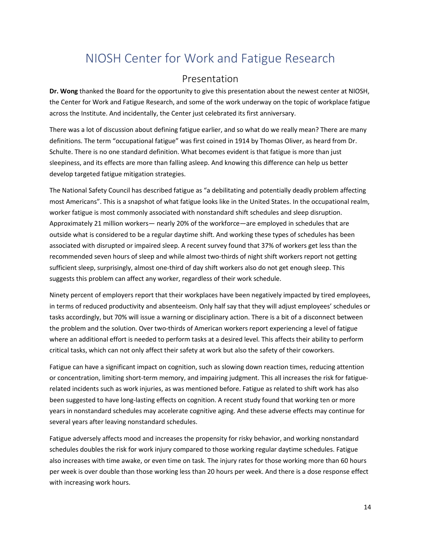# <span id="page-13-0"></span>NIOSH Center for Work and Fatigue Research

### Presentation

<span id="page-13-1"></span>**Dr. Wong** thanked the Board for the opportunity to give this presentation about the newest center at NIOSH, the Center for Work and Fatigue Research, and some of the work underway on the topic of workplace fatigue across the Institute. And incidentally, the Center just celebrated its first anniversary.

There was a lot of discussion about defining fatigue earlier, and so what do we really mean? There are many definitions. The term "occupational fatigue" was first coined in 1914 by Thomas Oliver, as heard from Dr. Schulte. There is no one standard definition. What becomes evident is that fatigue is more than just sleepiness, and its effects are more than falling asleep. And knowing this difference can help us better develop targeted fatigue mitigation strategies.

The National Safety Council has described fatigue as "a debilitating and potentially deadly problem affecting most Americans". This is a snapshot of what fatigue looks like in the United States. In the occupational realm, worker fatigue is most commonly associated with nonstandard shift schedules and sleep disruption. Approximately 21 million workers— nearly 20% of the workforce—are employed in schedules that are outside what is considered to be a regular daytime shift. And working these types of schedules has been associated with disrupted or impaired sleep. A recent survey found that 37% of workers get less than the recommended seven hours of sleep and while almost two-thirds of night shift workers report not getting sufficient sleep, surprisingly, almost one-third of day shift workers also do not get enough sleep. This suggests this problem can affect any worker, regardless of their work schedule.

Ninety percent of employers report that their workplaces have been negatively impacted by tired employees, in terms of reduced productivity and absenteeism. Only half say that they will adjust employees' schedules or tasks accordingly, but 70% will issue a warning or disciplinary action. There is a bit of a disconnect between the problem and the solution. Over two-thirds of American workers report experiencing a level of fatigue where an additional effort is needed to perform tasks at a desired level. This affects their ability to perform critical tasks, which can not only affect their safety at work but also the safety of their coworkers.

Fatigue can have a significant impact on cognition, such as slowing down reaction times, reducing attention or concentration, limiting short-term memory, and impairing judgment. This all increases the risk for fatiguerelated incidents such as work injuries, as was mentioned before. Fatigue as related to shift work has also been suggested to have long-lasting effects on cognition. A recent study found that working ten or more years in nonstandard schedules may accelerate cognitive aging. And these adverse effects may continue for several years after leaving nonstandard schedules.

Fatigue adversely affects mood and increases the propensity for risky behavior, and working nonstandard schedules doubles the risk for work injury compared to those working regular daytime schedules. Fatigue also increases with time awake, or even time on task. The injury rates for those working more than 60 hours per week is over double than those working less than 20 hours per week. And there is a dose response effect with increasing work hours.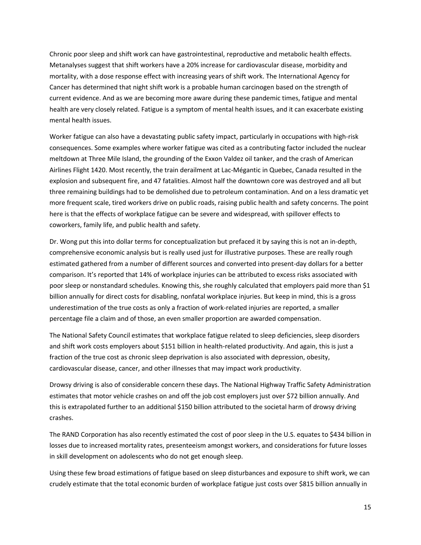Chronic poor sleep and shift work can have gastrointestinal, reproductive and metabolic health effects. Metanalyses suggest that shift workers have a 20% increase for cardiovascular disease, morbidity and mortality, with a dose response effect with increasing years of shift work. The International Agency for Cancer has determined that night shift work is a probable human carcinogen based on the strength of current evidence. And as we are becoming more aware during these pandemic times, fatigue and mental health are very closely related. Fatigue is a symptom of mental health issues, and it can exacerbate existing mental health issues.

Worker fatigue can also have a devastating public safety impact, particularly in occupations with high-risk consequences. Some examples where worker fatigue was cited as a contributing factor included the nuclear meltdown at Three Mile Island, the grounding of the Exxon Valdez oil tanker, and the crash of American Airlines Flight 1420. Most recently, the train derailment at Lac-Mégantic in Quebec, Canada resulted in the explosion and subsequent fire, and 47 fatalities. Almost half the downtown core was destroyed and all but three remaining buildings had to be demolished due to petroleum contamination. And on a less dramatic yet more frequent scale, tired workers drive on public roads, raising public health and safety concerns. The point here is that the effects of workplace fatigue can be severe and widespread, with spillover effects to coworkers, family life, and public health and safety.

Dr. Wong put this into dollar terms for conceptualization but prefaced it by saying this is not an in-depth, comprehensive economic analysis but is really used just for illustrative purposes. These are really rough estimated gathered from a number of different sources and converted into present-day dollars for a better comparison. It's reported that 14% of workplace injuries can be attributed to excess risks associated with poor sleep or nonstandard schedules. Knowing this, she roughly calculated that employers paid more than \$1 billion annually for direct costs for disabling, nonfatal workplace injuries. But keep in mind, this is a gross underestimation of the true costs as only a fraction of work-related injuries are reported, a smaller percentage file a claim and of those, an even smaller proportion are awarded compensation.

The National Safety Council estimates that workplace fatigue related to sleep deficiencies, sleep disorders and shift work costs employers about \$151 billion in health-related productivity. And again, this is just a fraction of the true cost as chronic sleep deprivation is also associated with depression, obesity, cardiovascular disease, cancer, and other illnesses that may impact work productivity.

Drowsy driving is also of considerable concern these days. The National Highway Traffic Safety Administration estimates that motor vehicle crashes on and off the job cost employers just over \$72 billion annually. And this is extrapolated further to an additional \$150 billion attributed to the societal harm of drowsy driving crashes.

The RAND Corporation has also recently estimated the cost of poor sleep in the U.S. equates to \$434 billion in losses due to increased mortality rates, presenteeism amongst workers, and considerations for future losses in skill development on adolescents who do not get enough sleep.

Using these few broad estimations of fatigue based on sleep disturbances and exposure to shift work, we can crudely estimate that the total economic burden of workplace fatigue just costs over \$815 billion annually in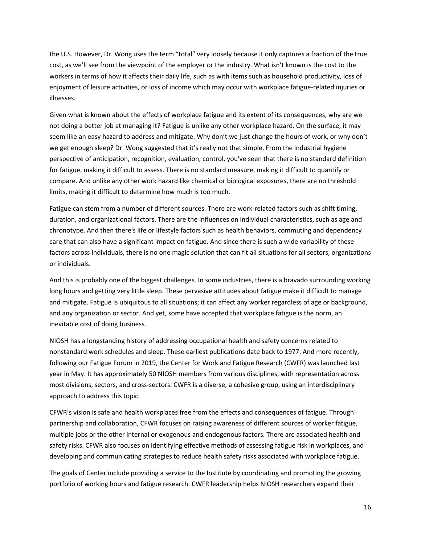the U.S. However, Dr. Wong uses the term "total" very loosely because it only captures a fraction of the true cost, as we'll see from the viewpoint of the employer or the industry. What isn't known is the cost to the workers in terms of how it affects their daily life, such as with items such as household productivity, loss of enjoyment of leisure activities, or loss of income which may occur with workplace fatigue-related injuries or illnesses.

Given what is known about the effects of workplace fatigue and its extent of its consequences, why are we not doing a better job at managing it? Fatigue is unlike any other workplace hazard. On the surface, it may seem like an easy hazard to address and mitigate. Why don't we just change the hours of work, or why don't we get enough sleep? Dr. Wong suggested that it's really not that simple. From the industrial hygiene perspective of anticipation, recognition, evaluation, control, you've seen that there is no standard definition for fatigue, making it difficult to assess. There is no standard measure, making it difficult to quantify or compare. And unlike any other work hazard like chemical or biological exposures, there are no threshold limits, making it difficult to determine how much is too much.

Fatigue can stem from a number of different sources. There are work-related factors such as shift timing, duration, and organizational factors. There are the influences on individual characteristics, such as age and chronotype. And then there's life or lifestyle factors such as health behaviors, commuting and dependency care that can also have a significant impact on fatigue. And since there is such a wide variability of these factors across individuals, there is no one magic solution that can fit all situations for all sectors, organizations or individuals.

And this is probably one of the biggest challenges. In some industries, there is a bravado surrounding working long hours and getting very little sleep. These pervasive attitudes about fatigue make it difficult to manage and mitigate. Fatigue is ubiquitous to all situations; it can affect any worker regardless of age or background, and any organization or sector. And yet, some have accepted that workplace fatigue is the norm, an inevitable cost of doing business.

NIOSH has a longstanding history of addressing occupational health and safety concerns related to nonstandard work schedules and sleep. These earliest publications date back to 1977. And more recently, following our Fatigue Forum in 2019, the Center for Work and Fatigue Research (CWFR) was launched last year in May. It has approximately 50 NIOSH members from various disciplines, with representation across most divisions, sectors, and cross-sectors. CWFR is a diverse, a cohesive group, using an interdisciplinary approach to address this topic.

CFWR's vision is safe and health workplaces free from the effects and consequences of fatigue. Through partnership and collaboration, CFWR focuses on raising awareness of different sources of worker fatigue, multiple jobs or the other internal or exogenous and endogenous factors. There are associated health and safety risks. CFWR also focuses on identifying effective methods of assessing fatigue risk in workplaces, and developing and communicating strategies to reduce health safety risks associated with workplace fatigue.

The goals of Center include providing a service to the Institute by coordinating and promoting the growing portfolio of working hours and fatigue research. CWFR leadership helps NIOSH researchers expand their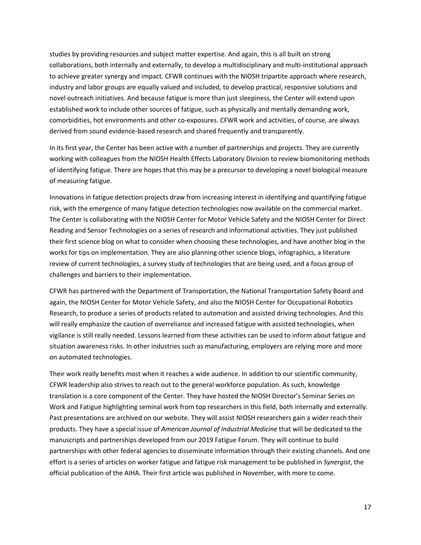studies by providing resources and subject matter expertise. And again, this is all built on strong collaborations, both internally and externally, to develop a multidisciplinary and multi-institutional approach to achieve greater synergy and impact. CFWR continues with the NIOSH tripartite approach where research, industry and labor groups are equally valued and included, to develop practical, responsive solutions and novel outreach initiatives. And because fatigue is more than just sleepiness, the Center will extend upon established work to include other sources of fatigue, such as physically and mentally demanding work, comorbidities, hot environments and other co-exposures. CFWR work and activities, of course, are always derived from sound evidence-based research and shared frequently and transparently.

In its first year, the Center has been active with a number of partnerships and projects. They are currently working with colleagues from the NIOSH Health Effects Laboratory Division to review biomonitoring methods of identifying fatigue. There are hopes that this may be a precursor to developing a novel biological measure of measuring fatigue.

Innovations in fatigue detection projects draw from increasing interest in identifying and quantifying fatigue risk, with the emergence of many fatigue detection technologies now available on the commercial market. The Center is collaborating with the NIOSH Center for Motor Vehicle Safety and the NIOSH Center for Direct Reading and Sensor Technologies on a series of research and informational activities. They just published their first science blog on what to consider when choosing these technologies, and have another blog in the works for tips on implementation. They are also planning other science blogs, infographics, a literature review of current technologies, a survey study of technologies that are being used, and a focus group of challenges and barriers to their implementation.

CFWR has partnered with the Department of Transportation, the National Transportation Safety Board and again, the NIOSH Center for Motor Vehicle Safety, and also the NIOSH Center for Occupational Robotics Research, to produce a series of products related to automation and assisted driving technologies. And this will really emphasize the caution of overreliance and increased fatigue with assisted technologies, when vigilance is still really needed. Lessons learned from these activities can be used to inform about fatigue and situation awareness risks. In other industries such as manufacturing, employers are relying more and more on automated technologies.

Their work really benefits most when it reaches a wide audience. In addition to our scientific community, CFWR leadership also strives to reach out to the general workforce population. As such, knowledge translation is a core component of the Center. They have hosted the NIOSH Director's Seminar Series on Work and Fatigue highlighting seminal work from top researchers in this field, both internally and externally. Past presentations are archived on our website. They will assist NIOSH researchers gain a wider reach their products. They have a special issue of *American Journal of Industrial Medicine* that will be dedicated to the manuscripts and partnerships developed from our 2019 Fatigue Forum. They will continue to build partnerships with other federal agencies to disseminate information through their existing channels. And one effort is a series of articles on worker fatigue and fatigue risk management to be published in *Synergist*, the official publication of the AIHA. Their first article was published in November, with more to come.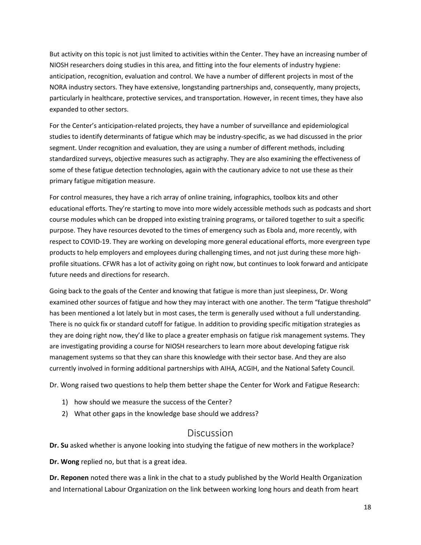But activity on this topic is not just limited to activities within the Center. They have an increasing number of NIOSH researchers doing studies in this area, and fitting into the four elements of industry hygiene: anticipation, recognition, evaluation and control. We have a number of different projects in most of the NORA industry sectors. They have extensive, longstanding partnerships and, consequently, many projects, particularly in healthcare, protective services, and transportation. However, in recent times, they have also expanded to other sectors.

For the Center's anticipation-related projects, they have a number of surveillance and epidemiological studies to identify determinants of fatigue which may be industry-specific, as we had discussed in the prior segment. Under recognition and evaluation, they are using a number of different methods, including standardized surveys, objective measures such as actigraphy. They are also examining the effectiveness of some of these fatigue detection technologies, again with the cautionary advice to not use these as their primary fatigue mitigation measure.

For control measures, they have a rich array of online training, infographics, toolbox kits and other educational efforts. They're starting to move into more widely accessible methods such as podcasts and short course modules which can be dropped into existing training programs, or tailored together to suit a specific purpose. They have resources devoted to the times of emergency such as Ebola and, more recently, with respect to COVID-19. They are working on developing more general educational efforts, more evergreen type products to help employers and employees during challenging times, and not just during these more highprofile situations. CFWR has a lot of activity going on right now, but continues to look forward and anticipate future needs and directions for research.

Going back to the goals of the Center and knowing that fatigue is more than just sleepiness, Dr. Wong examined other sources of fatigue and how they may interact with one another. The term "fatigue threshold" has been mentioned a lot lately but in most cases, the term is generally used without a full understanding. There is no quick fix or standard cutoff for fatigue. In addition to providing specific mitigation strategies as they are doing right now, they'd like to place a greater emphasis on fatigue risk management systems. They are investigating providing a course for NIOSH researchers to learn more about developing fatigue risk management systems so that they can share this knowledge with their sector base. And they are also currently involved in forming additional partnerships with AIHA, ACGIH, and the National Safety Council.

Dr. Wong raised two questions to help them better shape the Center for Work and Fatigue Research:

- 1) how should we measure the success of the Center?
- 2) What other gaps in the knowledge base should we address?

### Discussion

<span id="page-17-0"></span>**Dr. Su** asked whether is anyone looking into studying the fatigue of new mothers in the workplace?

**Dr. Wong** replied no, but that is a great idea.

**Dr. Reponen** noted there was a link in the chat to a study published by the World Health Organization and International Labour Organization on the link between working long hours and death from heart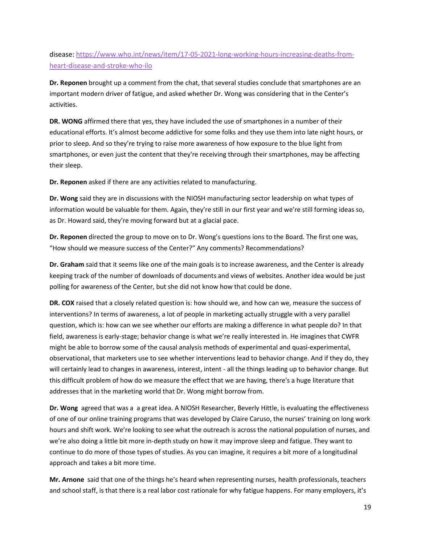disease[: https://www.who.int/news/item/17-05-2021-long-working-hours-increasing-deaths-from](https://www.who.int/news/item/17-05-2021-long-working-hours-increasing-deaths-from-heart-disease-and-stroke-who-ilo)[heart-disease-and-stroke-who-ilo](https://www.who.int/news/item/17-05-2021-long-working-hours-increasing-deaths-from-heart-disease-and-stroke-who-ilo)

**Dr. Reponen** brought up a comment from the chat, that several studies conclude that smartphones are an important modern driver of fatigue, and asked whether Dr. Wong was considering that in the Center's activities.

**DR. WONG** affirmed there that yes, they have included the use of smartphones in a number of their educational efforts. It's almost become addictive for some folks and they use them into late night hours, or prior to sleep. And so they're trying to raise more awareness of how exposure to the blue light from smartphones, or even just the content that they're receiving through their smartphones, may be affecting their sleep.

**Dr. Reponen** asked if there are any activities related to manufacturing.

**Dr. Wong** said they are in discussions with the NIOSH manufacturing sector leadership on what types of information would be valuable for them. Again, they're still in our first year and we're still forming ideas so, as Dr. Howard said, they're moving forward but at a glacial pace.

**Dr. Reponen** directed the group to move on to Dr. Wong's questions ions to the Board. The first one was, "How should we measure success of the Center?" Any comments? Recommendations?

**Dr. Graham** said that it seems like one of the main goals is to increase awareness, and the Center is already keeping track of the number of downloads of documents and views of websites. Another idea would be just polling for awareness of the Center, but she did not know how that could be done.

**DR. COX** raised that a closely related question is: how should we, and how can we, measure the success of interventions? In terms of awareness, a lot of people in marketing actually struggle with a very parallel question, which is: how can we see whether our efforts are making a difference in what people do? In that field, awareness is early-stage; behavior change is what we're really interested in. He imagines that CWFR might be able to borrow some of the causal analysis methods of experimental and quasi-experimental, observational, that marketers use to see whether interventions lead to behavior change. And if they do, they will certainly lead to changes in awareness, interest, intent - all the things leading up to behavior change. But this difficult problem of how do we measure the effect that we are having, there's a huge literature that addresses that in the marketing world that Dr. Wong might borrow from.

**Dr. Wong** agreed that was a a great idea. A NIOSH Researcher, Beverly Hittle, is evaluating the effectiveness of one of our online training programs that was developed by Claire Caruso, the nurses' training on long work hours and shift work. We're looking to see what the outreach is across the national population of nurses, and we're also doing a little bit more in-depth study on how it may improve sleep and fatigue. They want to continue to do more of those types of studies. As you can imagine, it requires a bit more of a longitudinal approach and takes a bit more time.

**Mr. Arnone** said that one of the things he's heard when representing nurses, health professionals, teachers and school staff, is that there is a real labor cost rationale for why fatigue happens. For many employers, it's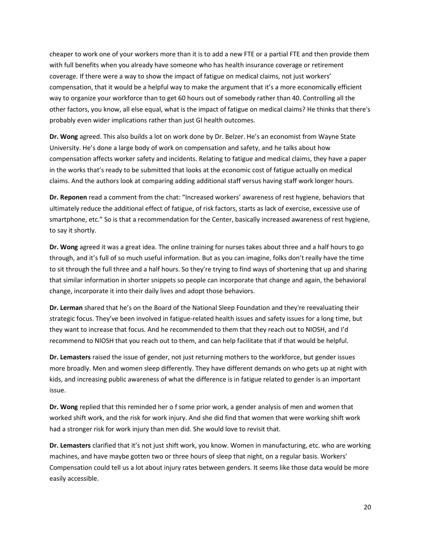cheaper to work one of your workers more than it is to add a new FTE or a partial FTE and then provide them with full benefits when you already have someone who has health insurance coverage or retirement coverage. If there were a way to show the impact of fatigue on medical claims, not just workers' compensation, that it would be a helpful way to make the argument that it's a more economically efficient way to organize your workforce than to get 60 hours out of somebody rather than 40. Controlling all the other factors, you know, all else equal, what is the impact of fatigue on medical claims? He thinks that there's probably even wider implications rather than just GI health outcomes.

**Dr. Wong** agreed. This also builds a lot on work done by Dr. Belzer. He's an economist from Wayne State University. He's done a large body of work on compensation and safety, and he talks about how compensation affects worker safety and incidents. Relating to fatigue and medical claims, they have a paper in the works that's ready to be submitted that looks at the economic cost of fatigue actually on medical claims. And the authors look at comparing adding additional staff versus having staff work longer hours.

**Dr. Reponen** read a comment from the chat: "Increased workers' awareness of rest hygiene, behaviors that ultimately reduce the additional effect of fatigue, of risk factors, starts as lack of exercise, excessive use of smartphone, etc." So is that a recommendation for the Center, basically increased awareness of rest hygiene, to say it shortly.

**Dr. Wong** agreed it was a great idea. The online training for nurses takes about three and a half hours to go through, and it's full of so much useful information. But as you can imagine, folks don't really have the time to sit through the full three and a half hours. So they're trying to find ways of shortening that up and sharing that similar information in shorter snippets so people can incorporate that change and again, the behavioral change, incorporate it into their daily lives and adopt those behaviors.

**Dr. Lerman** shared that he's on the Board of the National Sleep Foundation and they're reevaluating their strategic focus. They've been involved in fatigue-related health issues and safety issues for a long time, but they want to increase that focus. And he recommended to them that they reach out to NIOSH, and I'd recommend to NIOSH that you reach out to them, and can help facilitate that if that would be helpful.

**Dr. Lemasters** raised the issue of gender, not just returning mothers to the workforce, but gender issues more broadly. Men and women sleep differently. They have different demands on who gets up at night with kids, and increasing public awareness of what the difference is in fatigue related to gender is an important issue.

**Dr. Wong** replied that this reminded her o f some prior work, a gender analysis of men and women that worked shift work, and the risk for work injury. And she did find that women that were working shift work had a stronger risk for work injury than men did. She would love to revisit that.

**Dr. Lemasters** clarified that it's not just shift work, you know. Women in manufacturing, etc. who are working machines, and have maybe gotten two or three hours of sleep that night, on a regular basis. Workers' Compensation could tell us a lot about injury rates between genders. It seems like those data would be more easily accessible.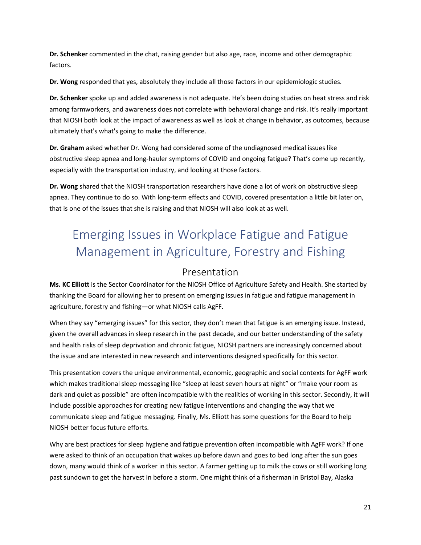**Dr. Schenker** commented in the chat, raising gender but also age, race, income and other demographic factors.

**Dr. Wong** responded that yes, absolutely they include all those factors in our epidemiologic studies.

**Dr. Schenker** spoke up and added awareness is not adequate. He's been doing studies on heat stress and risk among farmworkers, and awareness does not correlate with behavioral change and risk. It's really important that NIOSH both look at the impact of awareness as well as look at change in behavior, as outcomes, because ultimately that's what's going to make the difference.

**Dr. Graham** asked whether Dr. Wong had considered some of the undiagnosed medical issues like obstructive sleep apnea and long-hauler symptoms of COVID and ongoing fatigue? That's come up recently, especially with the transportation industry, and looking at those factors.

**Dr. Wong** shared that the NIOSH transportation researchers have done a lot of work on obstructive sleep apnea. They continue to do so. With long-term effects and COVID, covered presentation a little bit later on, that is one of the issues that she is raising and that NIOSH will also look at as well.

# <span id="page-20-0"></span>Emerging Issues in Workplace Fatigue and Fatigue Management in Agriculture, Forestry and Fishing

### Presentation

<span id="page-20-1"></span>**Ms. KC Elliott** is the Sector Coordinator for the NIOSH Office of Agriculture Safety and Health. She started by thanking the Board for allowing her to present on emerging issues in fatigue and fatigue management in agriculture, forestry and fishing—or what NIOSH calls AgFF.

When they say "emerging issues" for this sector, they don't mean that fatigue is an emerging issue. Instead, given the overall advances in sleep research in the past decade, and our better understanding of the safety and health risks of sleep deprivation and chronic fatigue, NIOSH partners are increasingly concerned about the issue and are interested in new research and interventions designed specifically for this sector.

This presentation covers the unique environmental, economic, geographic and social contexts for AgFF work which makes traditional sleep messaging like "sleep at least seven hours at night" or "make your room as dark and quiet as possible" are often incompatible with the realities of working in this sector. Secondly, it will include possible approaches for creating new fatigue interventions and changing the way that we communicate sleep and fatigue messaging. Finally, Ms. Elliott has some questions for the Board to help NIOSH better focus future efforts.

Why are best practices for sleep hygiene and fatigue prevention often incompatible with AgFF work? If one were asked to think of an occupation that wakes up before dawn and goes to bed long after the sun goes down, many would think of a worker in this sector. A farmer getting up to milk the cows or still working long past sundown to get the harvest in before a storm. One might think of a fisherman in Bristol Bay, Alaska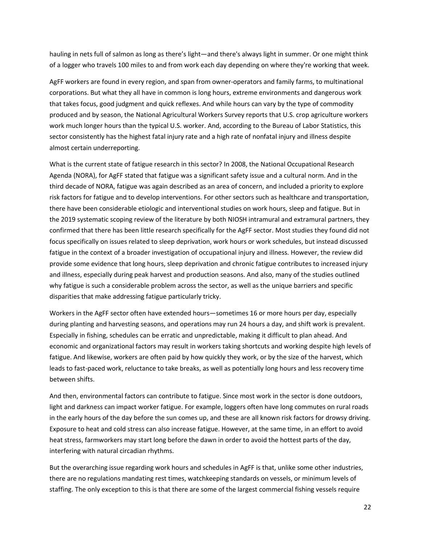hauling in nets full of salmon as long as there's light—and there's always light in summer. Or one might think of a logger who travels 100 miles to and from work each day depending on where they're working that week.

AgFF workers are found in every region, and span from owner-operators and family farms, to multinational corporations. But what they all have in common is long hours, extreme environments and dangerous work that takes focus, good judgment and quick reflexes. And while hours can vary by the type of commodity produced and by season, the National Agricultural Workers Survey reports that U.S. crop agriculture workers work much longer hours than the typical U.S. worker. And, according to the Bureau of Labor Statistics, this sector consistently has the highest fatal injury rate and a high rate of nonfatal injury and illness despite almost certain underreporting.

What is the current state of fatigue research in this sector? In 2008, the National Occupational Research Agenda (NORA), for AgFF stated that fatigue was a significant safety issue and a cultural norm. And in the third decade of NORA, fatigue was again described as an area of concern, and included a priority to explore risk factors for fatigue and to develop interventions. For other sectors such as healthcare and transportation, there have been considerable etiologic and interventional studies on work hours, sleep and fatigue. But in the 2019 systematic scoping review of the literature by both NIOSH intramural and extramural partners, they confirmed that there has been little research specifically for the AgFF sector. Most studies they found did not focus specifically on issues related to sleep deprivation, work hours or work schedules, but instead discussed fatigue in the context of a broader investigation of occupational injury and illness. However, the review did provide some evidence that long hours, sleep deprivation and chronic fatigue contributes to increased injury and illness, especially during peak harvest and production seasons. And also, many of the studies outlined why fatigue is such a considerable problem across the sector, as well as the unique barriers and specific disparities that make addressing fatigue particularly tricky.

Workers in the AgFF sector often have extended hours—sometimes 16 or more hours per day, especially during planting and harvesting seasons, and operations may run 24 hours a day, and shift work is prevalent. Especially in fishing, schedules can be erratic and unpredictable, making it difficult to plan ahead. And economic and organizational factors may result in workers taking shortcuts and working despite high levels of fatigue. And likewise, workers are often paid by how quickly they work, or by the size of the harvest, which leads to fast-paced work, reluctance to take breaks, as well as potentially long hours and less recovery time between shifts.

And then, environmental factors can contribute to fatigue. Since most work in the sector is done outdoors, light and darkness can impact worker fatigue. For example, loggers often have long commutes on rural roads in the early hours of the day before the sun comes up, and these are all known risk factors for drowsy driving. Exposure to heat and cold stress can also increase fatigue. However, at the same time, in an effort to avoid heat stress, farmworkers may start long before the dawn in order to avoid the hottest parts of the day, interfering with natural circadian rhythms.

But the overarching issue regarding work hours and schedules in AgFF is that, unlike some other industries, there are no regulations mandating rest times, watchkeeping standards on vessels, or minimum levels of staffing. The only exception to this is that there are some of the largest commercial fishing vessels require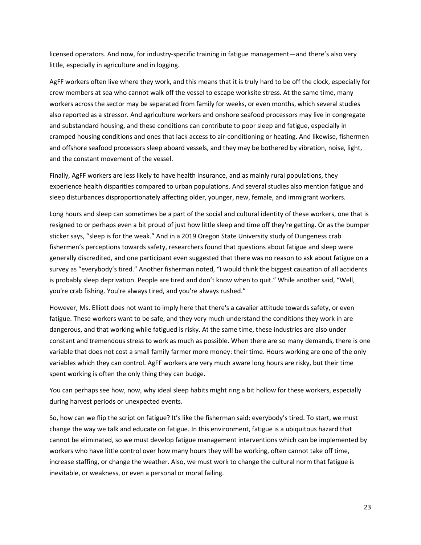licensed operators. And now, for industry-specific training in fatigue management—and there's also very little, especially in agriculture and in logging.

AgFF workers often live where they work, and this means that it is truly hard to be off the clock, especially for crew members at sea who cannot walk off the vessel to escape worksite stress. At the same time, many workers across the sector may be separated from family for weeks, or even months, which several studies also reported as a stressor. And agriculture workers and onshore seafood processors may live in congregate and substandard housing, and these conditions can contribute to poor sleep and fatigue, especially in cramped housing conditions and ones that lack access to air-conditioning or heating. And likewise, fishermen and offshore seafood processors sleep aboard vessels, and they may be bothered by vibration, noise, light, and the constant movement of the vessel.

Finally, AgFF workers are less likely to have health insurance, and as mainly rural populations, they experience health disparities compared to urban populations. And several studies also mention fatigue and sleep disturbances disproportionately affecting older, younger, new, female, and immigrant workers.

Long hours and sleep can sometimes be a part of the social and cultural identity of these workers, one that is resigned to or perhaps even a bit proud of just how little sleep and time off they're getting. Or as the bumper sticker says, "sleep is for the weak." And in a 2019 Oregon State University study of Dungeness crab fishermen's perceptions towards safety, researchers found that questions about fatigue and sleep were generally discredited, and one participant even suggested that there was no reason to ask about fatigue on a survey as "everybody's tired." Another fisherman noted, "I would think the biggest causation of all accidents is probably sleep deprivation. People are tired and don't know when to quit." While another said, "Well, you're crab fishing. You're always tired, and you're always rushed."

However, Ms. Elliott does not want to imply here that there's a cavalier attitude towards safety, or even fatigue. These workers want to be safe, and they very much understand the conditions they work in are dangerous, and that working while fatigued is risky. At the same time, these industries are also under constant and tremendous stress to work as much as possible. When there are so many demands, there is one variable that does not cost a small family farmer more money: their time. Hours working are one of the only variables which they can control. AgFF workers are very much aware long hours are risky, but their time spent working is often the only thing they can budge.

You can perhaps see how, now, why ideal sleep habits might ring a bit hollow for these workers, especially during harvest periods or unexpected events.

So, how can we flip the script on fatigue? It's like the fisherman said: everybody's tired. To start, we must change the way we talk and educate on fatigue. In this environment, fatigue is a ubiquitous hazard that cannot be eliminated, so we must develop fatigue management interventions which can be implemented by workers who have little control over how many hours they will be working, often cannot take off time, increase staffing, or change the weather. Also, we must work to change the cultural norm that fatigue is inevitable, or weakness, or even a personal or moral failing.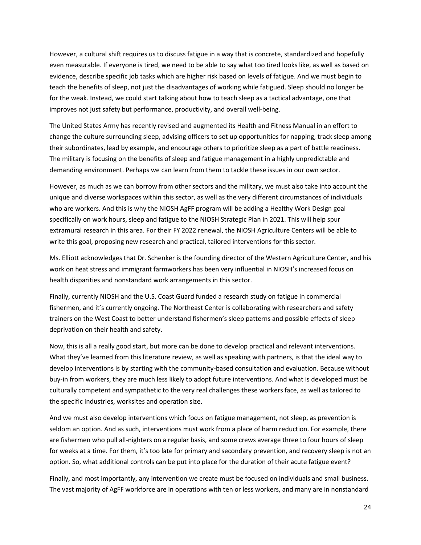However, a cultural shift requires us to discuss fatigue in a way that is concrete, standardized and hopefully even measurable. If everyone is tired, we need to be able to say what too tired looks like, as well as based on evidence, describe specific job tasks which are higher risk based on levels of fatigue. And we must begin to teach the benefits of sleep, not just the disadvantages of working while fatigued. Sleep should no longer be for the weak. Instead, we could start talking about how to teach sleep as a tactical advantage, one that improves not just safety but performance, productivity, and overall well-being.

The United States Army has recently revised and augmented its Health and Fitness Manual in an effort to change the culture surrounding sleep, advising officers to set up opportunities for napping, track sleep among their subordinates, lead by example, and encourage others to prioritize sleep as a part of battle readiness. The military is focusing on the benefits of sleep and fatigue management in a highly unpredictable and demanding environment. Perhaps we can learn from them to tackle these issues in our own sector.

However, as much as we can borrow from other sectors and the military, we must also take into account the unique and diverse workspaces within this sector, as well as the very different circumstances of individuals who are workers. And this is why the NIOSH AgFF program will be adding a Healthy Work Design goal specifically on work hours, sleep and fatigue to the NIOSH Strategic Plan in 2021. This will help spur extramural research in this area. For their FY 2022 renewal, the NIOSH Agriculture Centers will be able to write this goal, proposing new research and practical, tailored interventions for this sector.

Ms. Elliott acknowledges that Dr. Schenker is the founding director of the Western Agriculture Center, and his work on heat stress and immigrant farmworkers has been very influential in NIOSH's increased focus on health disparities and nonstandard work arrangements in this sector.

Finally, currently NIOSH and the U.S. Coast Guard funded a research study on fatigue in commercial fishermen, and it's currently ongoing. The Northeast Center is collaborating with researchers and safety trainers on the West Coast to better understand fishermen's sleep patterns and possible effects of sleep deprivation on their health and safety.

Now, this is all a really good start, but more can be done to develop practical and relevant interventions. What they've learned from this literature review, as well as speaking with partners, is that the ideal way to develop interventions is by starting with the community-based consultation and evaluation. Because without buy-in from workers, they are much less likely to adopt future interventions. And what is developed must be culturally competent and sympathetic to the very real challenges these workers face, as well as tailored to the specific industries, worksites and operation size.

And we must also develop interventions which focus on fatigue management, not sleep, as prevention is seldom an option. And as such, interventions must work from a place of harm reduction. For example, there are fishermen who pull all-nighters on a regular basis, and some crews average three to four hours of sleep for weeks at a time. For them, it's too late for primary and secondary prevention, and recovery sleep is not an option. So, what additional controls can be put into place for the duration of their acute fatigue event?

Finally, and most importantly, any intervention we create must be focused on individuals and small business. The vast majority of AgFF workforce are in operations with ten or less workers, and many are in nonstandard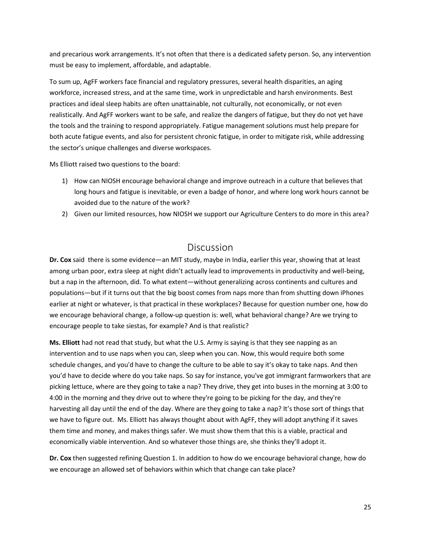and precarious work arrangements. It's not often that there is a dedicated safety person. So, any intervention must be easy to implement, affordable, and adaptable.

To sum up, AgFF workers face financial and regulatory pressures, several health disparities, an aging workforce, increased stress, and at the same time, work in unpredictable and harsh environments. Best practices and ideal sleep habits are often unattainable, not culturally, not economically, or not even realistically. And AgFF workers want to be safe, and realize the dangers of fatigue, but they do not yet have the tools and the training to respond appropriately. Fatigue management solutions must help prepare for both acute fatigue events, and also for persistent chronic fatigue, in order to mitigate risk, while addressing the sector's unique challenges and diverse workspaces.

Ms Elliott raised two questions to the board:

- 1) How can NIOSH encourage behavioral change and improve outreach in a culture that believes that long hours and fatigue is inevitable, or even a badge of honor, and where long work hours cannot be avoided due to the nature of the work?
- 2) Given our limited resources, how NIOSH we support our Agriculture Centers to do more in this area?

### Discussion

<span id="page-24-0"></span>**Dr. Cox** said there is some evidence—an MIT study, maybe in India, earlier this year, showing that at least among urban poor, extra sleep at night didn't actually lead to improvements in productivity and well-being, but a nap in the afternoon, did. To what extent—without generalizing across continents and cultures and populations—but if it turns out that the big boost comes from naps more than from shutting down iPhones earlier at night or whatever, is that practical in these workplaces? Because for question number one, how do we encourage behavioral change, a follow-up question is: well, what behavioral change? Are we trying to encourage people to take siestas, for example? And is that realistic?

**Ms. Elliott** had not read that study, but what the U.S. Army is saying is that they see napping as an intervention and to use naps when you can, sleep when you can. Now, this would require both some schedule changes, and you'd have to change the culture to be able to say it's okay to take naps. And then you'd have to decide where do you take naps. So say for instance, you've got immigrant farmworkers that are picking lettuce, where are they going to take a nap? They drive, they get into buses in the morning at 3:00 to 4:00 in the morning and they drive out to where they're going to be picking for the day, and they're harvesting all day until the end of the day. Where are they going to take a nap? It's those sort of things that we have to figure out. Ms. Elliott has always thought about with AgFF, they will adopt anything if it saves them time and money, and makes things safer. We must show them that this is a viable, practical and economically viable intervention. And so whatever those things are, she thinks they'll adopt it.

**Dr. Cox** then suggested refining Question 1. In addition to how do we encourage behavioral change, how do we encourage an allowed set of behaviors within which that change can take place?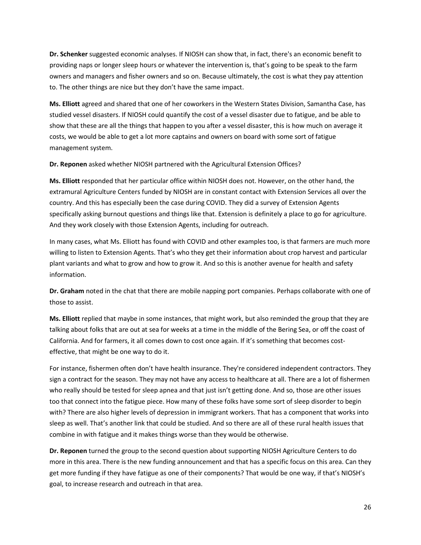**Dr. Schenker** suggested economic analyses. If NIOSH can show that, in fact, there's an economic benefit to providing naps or longer sleep hours or whatever the intervention is, that's going to be speak to the farm owners and managers and fisher owners and so on. Because ultimately, the cost is what they pay attention to. The other things are nice but they don't have the same impact.

**Ms. Elliott** agreed and shared that one of her coworkers in the Western States Division, Samantha Case, has studied vessel disasters. If NIOSH could quantify the cost of a vessel disaster due to fatigue, and be able to show that these are all the things that happen to you after a vessel disaster, this is how much on average it costs, we would be able to get a lot more captains and owners on board with some sort of fatigue management system.

**Dr. Reponen** asked whether NIOSH partnered with the Agricultural Extension Offices?

**Ms. Elliott** responded that her particular office within NIOSH does not. However, on the other hand, the extramural Agriculture Centers funded by NIOSH are in constant contact with Extension Services all over the country. And this has especially been the case during COVID. They did a survey of Extension Agents specifically asking burnout questions and things like that. Extension is definitely a place to go for agriculture. And they work closely with those Extension Agents, including for outreach.

In many cases, what Ms. Elliott has found with COVID and other examples too, is that farmers are much more willing to listen to Extension Agents. That's who they get their information about crop harvest and particular plant variants and what to grow and how to grow it. And so this is another avenue for health and safety information.

**Dr. Graham** noted in the chat that there are mobile napping port companies. Perhaps collaborate with one of those to assist.

**Ms. Elliott** replied that maybe in some instances, that might work, but also reminded the group that they are talking about folks that are out at sea for weeks at a time in the middle of the Bering Sea, or off the coast of California. And for farmers, it all comes down to cost once again. If it's something that becomes costeffective, that might be one way to do it.

For instance, fishermen often don't have health insurance. They're considered independent contractors. They sign a contract for the season. They may not have any access to healthcare at all. There are a lot of fishermen who really should be tested for sleep apnea and that just isn't getting done. And so, those are other issues too that connect into the fatigue piece. How many of these folks have some sort of sleep disorder to begin with? There are also higher levels of depression in immigrant workers. That has a component that works into sleep as well. That's another link that could be studied. And so there are all of these rural health issues that combine in with fatigue and it makes things worse than they would be otherwise.

**Dr. Reponen** turned the group to the second question about supporting NIOSH Agriculture Centers to do more in this area. There is the new funding announcement and that has a specific focus on this area. Can they get more funding if they have fatigue as one of their components? That would be one way, if that's NIOSH's goal, to increase research and outreach in that area.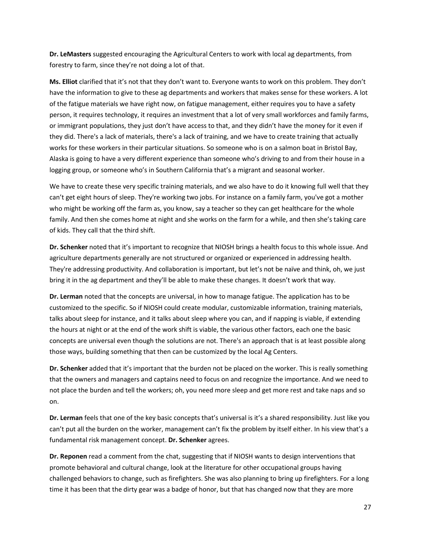**Dr. LeMasters** suggested encouraging the Agricultural Centers to work with local ag departments, from forestry to farm, since they're not doing a lot of that.

**Ms. Elliot** clarified that it's not that they don't want to. Everyone wants to work on this problem. They don't have the information to give to these ag departments and workers that makes sense for these workers. A lot of the fatigue materials we have right now, on fatigue management, either requires you to have a safety person, it requires technology, it requires an investment that a lot of very small workforces and family farms, or immigrant populations, they just don't have access to that, and they didn't have the money for it even if they did. There's a lack of materials, there's a lack of training, and we have to create training that actually works for these workers in their particular situations. So someone who is on a salmon boat in Bristol Bay, Alaska is going to have a very different experience than someone who's driving to and from their house in a logging group, or someone who's in Southern California that's a migrant and seasonal worker.

We have to create these very specific training materials, and we also have to do it knowing full well that they can't get eight hours of sleep. They're working two jobs. For instance on a family farm, you've got a mother who might be working off the farm as, you know, say a teacher so they can get healthcare for the whole family. And then she comes home at night and she works on the farm for a while, and then she's taking care of kids. They call that the third shift.

**Dr. Schenker** noted that it's important to recognize that NIOSH brings a health focus to this whole issue. And agriculture departments generally are not structured or organized or experienced in addressing health. They're addressing productivity. And collaboration is important, but let's not be naïve and think, oh, we just bring it in the ag department and they'll be able to make these changes. It doesn't work that way.

**Dr. Lerman** noted that the concepts are universal, in how to manage fatigue. The application has to be customized to the specific. So if NIOSH could create modular, customizable information, training materials, talks about sleep for instance, and it talks about sleep where you can, and if napping is viable, if extending the hours at night or at the end of the work shift is viable, the various other factors, each one the basic concepts are universal even though the solutions are not. There's an approach that is at least possible along those ways, building something that then can be customized by the local Ag Centers.

**Dr. Schenker** added that it's important that the burden not be placed on the worker. This is really something that the owners and managers and captains need to focus on and recognize the importance. And we need to not place the burden and tell the workers; oh, you need more sleep and get more rest and take naps and so on.

**Dr. Lerman** feels that one of the key basic concepts that's universal is it's a shared responsibility. Just like you can't put all the burden on the worker, management can't fix the problem by itself either. In his view that's a fundamental risk management concept. **Dr. Schenker** agrees.

**Dr. Reponen** read a comment from the chat, suggesting that if NIOSH wants to design interventions that promote behavioral and cultural change, look at the literature for other occupational groups having challenged behaviors to change, such as firefighters. She was also planning to bring up firefighters. For a long time it has been that the dirty gear was a badge of honor, but that has changed now that they are more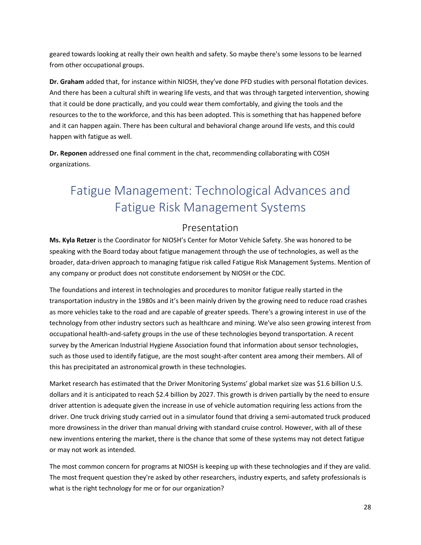geared towards looking at really their own health and safety. So maybe there's some lessons to be learned from other occupational groups.

**Dr. Graham** added that, for instance within NIOSH, they've done PFD studies with personal flotation devices. And there has been a cultural shift in wearing life vests, and that was through targeted intervention, showing that it could be done practically, and you could wear them comfortably, and giving the tools and the resources to the to the workforce, and this has been adopted. This is something that has happened before and it can happen again. There has been cultural and behavioral change around life vests, and this could happen with fatigue as well.

**Dr. Reponen** addressed one final comment in the chat, recommending collaborating with COSH organizations.

# <span id="page-27-0"></span>Fatigue Management: Technological Advances and Fatigue Risk Management Systems

### Presentation

<span id="page-27-1"></span>**Ms. Kyla Retzer** is the Coordinator for NIOSH's Center for Motor Vehicle Safety. She was honored to be speaking with the Board today about fatigue management through the use of technologies, as well as the broader, data-driven approach to managing fatigue risk called Fatigue Risk Management Systems. Mention of any company or product does not constitute endorsement by NIOSH or the CDC.

The foundations and interest in technologies and procedures to monitor fatigue really started in the transportation industry in the 1980s and it's been mainly driven by the growing need to reduce road crashes as more vehicles take to the road and are capable of greater speeds. There's a growing interest in use of the technology from other industry sectors such as healthcare and mining. We've also seen growing interest from occupational health-and-safety groups in the use of these technologies beyond transportation. A recent survey by the American Industrial Hygiene Association found that information about sensor technologies, such as those used to identify fatigue, are the most sought-after content area among their members. All of this has precipitated an astronomical growth in these technologies.

Market research has estimated that the Driver Monitoring Systems' global market size was \$1.6 billion U.S. dollars and it is anticipated to reach \$2.4 billion by 2027. This growth is driven partially by the need to ensure driver attention is adequate given the increase in use of vehicle automation requiring less actions from the driver. One truck driving study carried out in a simulator found that driving a semi-automated truck produced more drowsiness in the driver than manual driving with standard cruise control. However, with all of these new inventions entering the market, there is the chance that some of these systems may not detect fatigue or may not work as intended.

The most common concern for programs at NIOSH is keeping up with these technologies and if they are valid. The most frequent question they're asked by other researchers, industry experts, and safety professionals is what is the right technology for me or for our organization?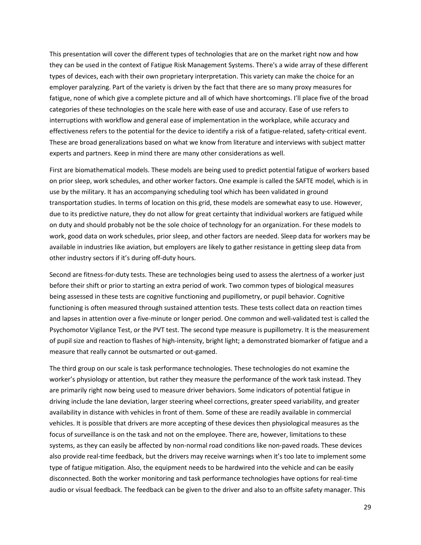This presentation will cover the different types of technologies that are on the market right now and how they can be used in the context of Fatigue Risk Management Systems. There's a wide array of these different types of devices, each with their own proprietary interpretation. This variety can make the choice for an employer paralyzing. Part of the variety is driven by the fact that there are so many proxy measures for fatigue, none of which give a complete picture and all of which have shortcomings. I'll place five of the broad categories of these technologies on the scale here with ease of use and accuracy. Ease of use refers to interruptions with workflow and general ease of implementation in the workplace, while accuracy and effectiveness refers to the potential for the device to identify a risk of a fatigue-related, safety-critical event. These are broad generalizations based on what we know from literature and interviews with subject matter experts and partners. Keep in mind there are many other considerations as well.

First are biomathematical models. These models are being used to predict potential fatigue of workers based on prior sleep, work schedules, and other worker factors. One example is called the SAFTE model, which is in use by the military. It has an accompanying scheduling tool which has been validated in ground transportation studies. In terms of location on this grid, these models are somewhat easy to use. However, due to its predictive nature, they do not allow for great certainty that individual workers are fatigued while on duty and should probably not be the sole choice of technology for an organization. For these models to work, good data on work schedules, prior sleep, and other factors are needed. Sleep data for workers may be available in industries like aviation, but employers are likely to gather resistance in getting sleep data from other industry sectors if it's during off-duty hours.

Second are fitness-for-duty tests. These are technologies being used to assess the alertness of a worker just before their shift or prior to starting an extra period of work. Two common types of biological measures being assessed in these tests are cognitive functioning and pupillometry, or pupil behavior. Cognitive functioning is often measured through sustained attention tests. These tests collect data on reaction times and lapses in attention over a five-minute or longer period. One common and well-validated test is called the Psychomotor Vigilance Test, or the PVT test. The second type measure is pupillometry. It is the measurement of pupil size and reaction to flashes of high-intensity, bright light; a demonstrated biomarker of fatigue and a measure that really cannot be outsmarted or out-gamed.

The third group on our scale is task performance technologies. These technologies do not examine the worker's physiology or attention, but rather they measure the performance of the work task instead. They are primarily right now being used to measure driver behaviors. Some indicators of potential fatigue in driving include the lane deviation, larger steering wheel corrections, greater speed variability, and greater availability in distance with vehicles in front of them. Some of these are readily available in commercial vehicles. It is possible that drivers are more accepting of these devices then physiological measures as the focus of surveillance is on the task and not on the employee. There are, however, limitations to these systems, as they can easily be affected by non-normal road conditions like non-paved roads. These devices also provide real-time feedback, but the drivers may receive warnings when it's too late to implement some type of fatigue mitigation. Also, the equipment needs to be hardwired into the vehicle and can be easily disconnected. Both the worker monitoring and task performance technologies have options for real-time audio or visual feedback. The feedback can be given to the driver and also to an offsite safety manager. This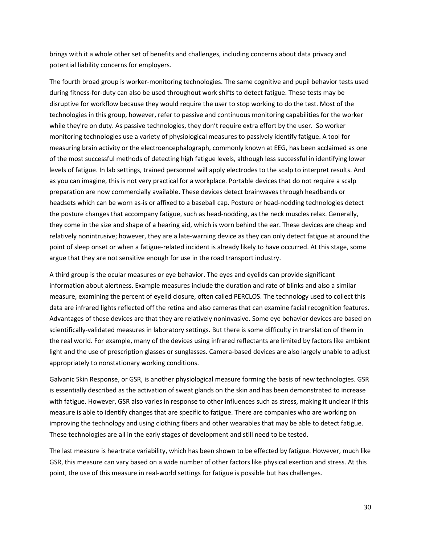brings with it a whole other set of benefits and challenges, including concerns about data privacy and potential liability concerns for employers.

The fourth broad group is worker-monitoring technologies. The same cognitive and pupil behavior tests used during fitness-for-duty can also be used throughout work shifts to detect fatigue. These tests may be disruptive for workflow because they would require the user to stop working to do the test. Most of the technologies in this group, however, refer to passive and continuous monitoring capabilities for the worker while they're on duty. As passive technologies, they don't require extra effort by the user. So worker monitoring technologies use a variety of physiological measures to passively identify fatigue. A tool for measuring brain activity or the electroencephalograph, commonly known at EEG, has been acclaimed as one of the most successful methods of detecting high fatigue levels, although less successful in identifying lower levels of fatigue. In lab settings, trained personnel will apply electrodes to the scalp to interpret results. And as you can imagine, this is not very practical for a workplace. Portable devices that do not require a scalp preparation are now commercially available. These devices detect brainwaves through headbands or headsets which can be worn as-is or affixed to a baseball cap. Posture or head-nodding technologies detect the posture changes that accompany fatigue, such as head-nodding, as the neck muscles relax. Generally, they come in the size and shape of a hearing aid, which is worn behind the ear. These devices are cheap and relatively nonintrusive; however, they are a late-warning device as they can only detect fatigue at around the point of sleep onset or when a fatigue-related incident is already likely to have occurred. At this stage, some argue that they are not sensitive enough for use in the road transport industry.

A third group is the ocular measures or eye behavior. The eyes and eyelids can provide significant information about alertness. Example measures include the duration and rate of blinks and also a similar measure, examining the percent of eyelid closure, often called PERCLOS. The technology used to collect this data are infrared lights reflected off the retina and also cameras that can examine facial recognition features. Advantages of these devices are that they are relatively noninvasive. Some eye behavior devices are based on scientifically-validated measures in laboratory settings. But there is some difficulty in translation of them in the real world. For example, many of the devices using infrared reflectants are limited by factors like ambient light and the use of prescription glasses or sunglasses. Camera-based devices are also largely unable to adjust appropriately to nonstationary working conditions.

Galvanic Skin Response, or GSR, is another physiological measure forming the basis of new technologies. GSR is essentially described as the activation of sweat glands on the skin and has been demonstrated to increase with fatigue. However, GSR also varies in response to other influences such as stress, making it unclear if this measure is able to identify changes that are specific to fatigue. There are companies who are working on improving the technology and using clothing fibers and other wearables that may be able to detect fatigue. These technologies are all in the early stages of development and still need to be tested.

The last measure is heartrate variability, which has been shown to be effected by fatigue. However, much like GSR, this measure can vary based on a wide number of other factors like physical exertion and stress. At this point, the use of this measure in real-world settings for fatigue is possible but has challenges.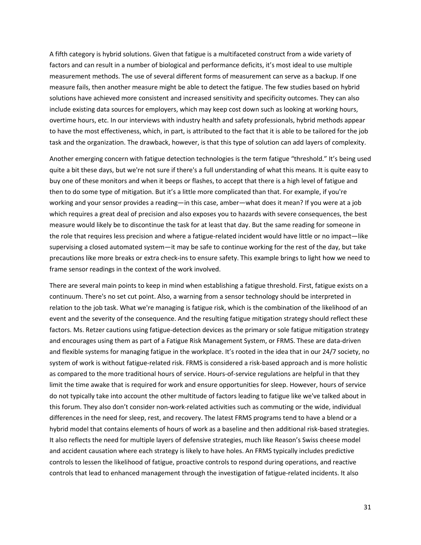A fifth category is hybrid solutions. Given that fatigue is a multifaceted construct from a wide variety of factors and can result in a number of biological and performance deficits, it's most ideal to use multiple measurement methods. The use of several different forms of measurement can serve as a backup. If one measure fails, then another measure might be able to detect the fatigue. The few studies based on hybrid solutions have achieved more consistent and increased sensitivity and specificity outcomes. They can also include existing data sources for employers, which may keep cost down such as looking at working hours, overtime hours, etc. In our interviews with industry health and safety professionals, hybrid methods appear to have the most effectiveness, which, in part, is attributed to the fact that it is able to be tailored for the job task and the organization. The drawback, however, is that this type of solution can add layers of complexity.

Another emerging concern with fatigue detection technologies is the term fatigue "threshold." It's being used quite a bit these days, but we're not sure if there's a full understanding of what this means. It is quite easy to buy one of these monitors and when it beeps or flashes, to accept that there is a high level of fatigue and then to do some type of mitigation. But it's a little more complicated than that. For example, if you're working and your sensor provides a reading—in this case, amber—what does it mean? If you were at a job which requires a great deal of precision and also exposes you to hazards with severe consequences, the best measure would likely be to discontinue the task for at least that day. But the same reading for someone in the role that requires less precision and where a fatigue-related incident would have little or no impact—like supervising a closed automated system—it may be safe to continue working for the rest of the day, but take precautions like more breaks or extra check-ins to ensure safety. This example brings to light how we need to frame sensor readings in the context of the work involved.

There are several main points to keep in mind when establishing a fatigue threshold. First, fatigue exists on a continuum. There's no set cut point. Also, a warning from a sensor technology should be interpreted in relation to the job task. What we're managing is fatigue risk, which is the combination of the likelihood of an event and the severity of the consequence. And the resulting fatigue mitigation strategy should reflect these factors. Ms. Retzer cautions using fatigue-detection devices as the primary or sole fatigue mitigation strategy and encourages using them as part of a Fatigue Risk Management System, or FRMS. These are data-driven and flexible systems for managing fatigue in the workplace. It's rooted in the idea that in our 24/7 society, no system of work is without fatigue-related risk. FRMS is considered a risk-based approach and is more holistic as compared to the more traditional hours of service. Hours-of-service regulations are helpful in that they limit the time awake that is required for work and ensure opportunities for sleep. However, hours of service do not typically take into account the other multitude of factors leading to fatigue like we've talked about in this forum. They also don't consider non-work-related activities such as commuting or the wide, individual differences in the need for sleep, rest, and recovery. The latest FRMS programs tend to have a blend or a hybrid model that contains elements of hours of work as a baseline and then additional risk-based strategies. It also reflects the need for multiple layers of defensive strategies, much like Reason's Swiss cheese model and accident causation where each strategy is likely to have holes. An FRMS typically includes predictive controls to lessen the likelihood of fatigue, proactive controls to respond during operations, and reactive controls that lead to enhanced management through the investigation of fatigue-related incidents. It also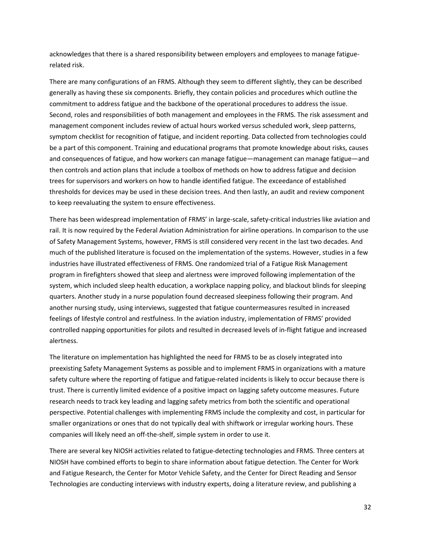acknowledges that there is a shared responsibility between employers and employees to manage fatiguerelated risk.

There are many configurations of an FRMS. Although they seem to different slightly, they can be described generally as having these six components. Briefly, they contain policies and procedures which outline the commitment to address fatigue and the backbone of the operational procedures to address the issue. Second, roles and responsibilities of both management and employees in the FRMS. The risk assessment and management component includes review of actual hours worked versus scheduled work, sleep patterns, symptom checklist for recognition of fatigue, and incident reporting. Data collected from technologies could be a part of this component. Training and educational programs that promote knowledge about risks, causes and consequences of fatigue, and how workers can manage fatigue—management can manage fatigue—and then controls and action plans that include a toolbox of methods on how to address fatigue and decision trees for supervisors and workers on how to handle identified fatigue. The exceedance of established thresholds for devices may be used in these decision trees. And then lastly, an audit and review component to keep reevaluating the system to ensure effectiveness.

There has been widespread implementation of FRMS' in large-scale, safety-critical industries like aviation and rail. It is now required by the Federal Aviation Administration for airline operations. In comparison to the use of Safety Management Systems, however, FRMS is still considered very recent in the last two decades. And much of the published literature is focused on the implementation of the systems. However, studies in a few industries have illustrated effectiveness of FRMS. One randomized trial of a Fatigue Risk Management program in firefighters showed that sleep and alertness were improved following implementation of the system, which included sleep health education, a workplace napping policy, and blackout blinds for sleeping quarters. Another study in a nurse population found decreased sleepiness following their program. And another nursing study, using interviews, suggested that fatigue countermeasures resulted in increased feelings of lifestyle control and restfulness. In the aviation industry, implementation of FRMS' provided controlled napping opportunities for pilots and resulted in decreased levels of in-flight fatigue and increased alertness.

The literature on implementation has highlighted the need for FRMS to be as closely integrated into preexisting Safety Management Systems as possible and to implement FRMS in organizations with a mature safety culture where the reporting of fatigue and fatigue-related incidents is likely to occur because there is trust. There is currently limited evidence of a positive impact on lagging safety outcome measures. Future research needs to track key leading and lagging safety metrics from both the scientific and operational perspective. Potential challenges with implementing FRMS include the complexity and cost, in particular for smaller organizations or ones that do not typically deal with shiftwork or irregular working hours. These companies will likely need an off-the-shelf, simple system in order to use it.

There are several key NIOSH activities related to fatigue-detecting technologies and FRMS. Three centers at NIOSH have combined efforts to begin to share information about fatigue detection. The Center for Work and Fatigue Research, the Center for Motor Vehicle Safety, and the Center for Direct Reading and Sensor Technologies are conducting interviews with industry experts, doing a literature review, and publishing a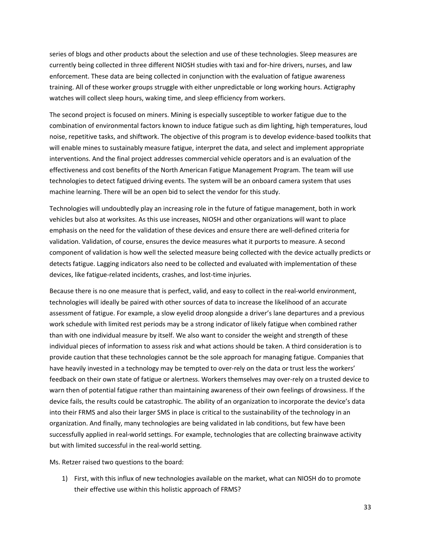series of blogs and other products about the selection and use of these technologies. Sleep measures are currently being collected in three different NIOSH studies with taxi and for-hire drivers, nurses, and law enforcement. These data are being collected in conjunction with the evaluation of fatigue awareness training. All of these worker groups struggle with either unpredictable or long working hours. Actigraphy watches will collect sleep hours, waking time, and sleep efficiency from workers.

The second project is focused on miners. Mining is especially susceptible to worker fatigue due to the combination of environmental factors known to induce fatigue such as dim lighting, high temperatures, loud noise, repetitive tasks, and shiftwork. The objective of this program is to develop evidence-based toolkits that will enable mines to sustainably measure fatigue, interpret the data, and select and implement appropriate interventions. And the final project addresses commercial vehicle operators and is an evaluation of the effectiveness and cost benefits of the North American Fatigue Management Program. The team will use technologies to detect fatigued driving events. The system will be an onboard camera system that uses machine learning. There will be an open bid to select the vendor for this study.

Technologies will undoubtedly play an increasing role in the future of fatigue management, both in work vehicles but also at worksites. As this use increases, NIOSH and other organizations will want to place emphasis on the need for the validation of these devices and ensure there are well-defined criteria for validation. Validation, of course, ensures the device measures what it purports to measure. A second component of validation is how well the selected measure being collected with the device actually predicts or detects fatigue. Lagging indicators also need to be collected and evaluated with implementation of these devices, like fatigue-related incidents, crashes, and lost-time injuries.

Because there is no one measure that is perfect, valid, and easy to collect in the real-world environment, technologies will ideally be paired with other sources of data to increase the likelihood of an accurate assessment of fatigue. For example, a slow eyelid droop alongside a driver's lane departures and a previous work schedule with limited rest periods may be a strong indicator of likely fatigue when combined rather than with one individual measure by itself. We also want to consider the weight and strength of these individual pieces of information to assess risk and what actions should be taken. A third consideration is to provide caution that these technologies cannot be the sole approach for managing fatigue. Companies that have heavily invested in a technology may be tempted to over-rely on the data or trust less the workers' feedback on their own state of fatigue or alertness. Workers themselves may over-rely on a trusted device to warn then of potential fatigue rather than maintaining awareness of their own feelings of drowsiness. If the device fails, the results could be catastrophic. The ability of an organization to incorporate the device's data into their FRMS and also their larger SMS in place is critical to the sustainability of the technology in an organization. And finally, many technologies are being validated in lab conditions, but few have been successfully applied in real-world settings. For example, technologies that are collecting brainwave activity but with limited successful in the real-world setting.

Ms. Retzer raised two questions to the board:

1) First, with this influx of new technologies available on the market, what can NIOSH do to promote their effective use within this holistic approach of FRMS?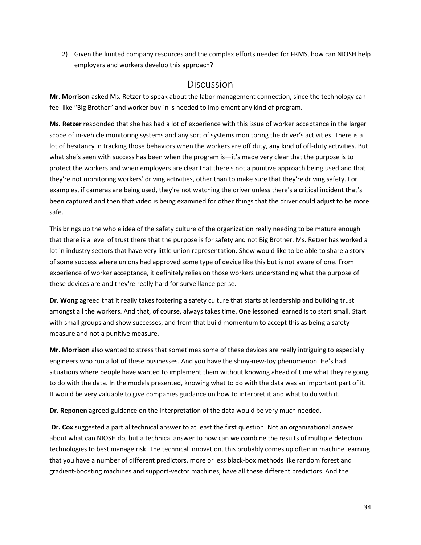2) Given the limited company resources and the complex efforts needed for FRMS, how can NIOSH help employers and workers develop this approach?

### Discussion

<span id="page-33-0"></span>**Mr. Morrison** asked Ms. Retzer to speak about the labor management connection, since the technology can feel like "Big Brother" and worker buy-in is needed to implement any kind of program.

**Ms. Retzer** responded that she has had a lot of experience with this issue of worker acceptance in the larger scope of in-vehicle monitoring systems and any sort of systems monitoring the driver's activities. There is a lot of hesitancy in tracking those behaviors when the workers are off duty, any kind of off-duty activities. But what she's seen with success has been when the program is—it's made very clear that the purpose is to protect the workers and when employers are clear that there's not a punitive approach being used and that they're not monitoring workers' driving activities, other than to make sure that they're driving safety. For examples, if cameras are being used, they're not watching the driver unless there's a critical incident that's been captured and then that video is being examined for other things that the driver could adjust to be more safe.

This brings up the whole idea of the safety culture of the organization really needing to be mature enough that there is a level of trust there that the purpose is for safety and not Big Brother. Ms. Retzer has worked a lot in industry sectors that have very little union representation. Shew would like to be able to share a story of some success where unions had approved some type of device like this but is not aware of one. From experience of worker acceptance, it definitely relies on those workers understanding what the purpose of these devices are and they're really hard for surveillance per se.

**Dr. Wong** agreed that it really takes fostering a safety culture that starts at leadership and building trust amongst all the workers. And that, of course, always takes time. One lessoned learned is to start small. Start with small groups and show successes, and from that build momentum to accept this as being a safety measure and not a punitive measure.

**Mr. Morrison** also wanted to stress that sometimes some of these devices are really intriguing to especially engineers who run a lot of these businesses. And you have the shiny-new-toy phenomenon. He's had situations where people have wanted to implement them without knowing ahead of time what they're going to do with the data. In the models presented, knowing what to do with the data was an important part of it. It would be very valuable to give companies guidance on how to interpret it and what to do with it.

**Dr. Reponen** agreed guidance on the interpretation of the data would be very much needed.

**Dr. Cox** suggested a partial technical answer to at least the first question. Not an organizational answer about what can NIOSH do, but a technical answer to how can we combine the results of multiple detection technologies to best manage risk. The technical innovation, this probably comes up often in machine learning that you have a number of different predictors, more or less black-box methods like random forest and gradient-boosting machines and support-vector machines, have all these different predictors. And the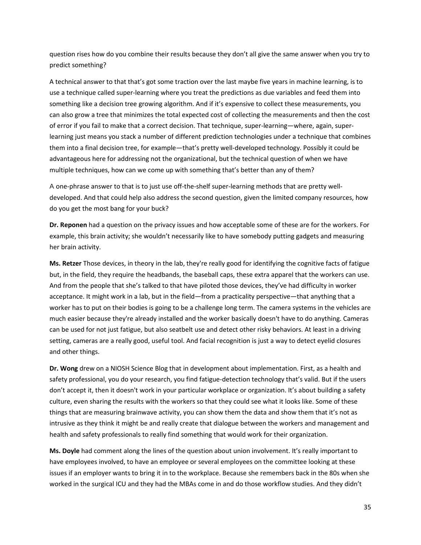question rises how do you combine their results because they don't all give the same answer when you try to predict something?

A technical answer to that that's got some traction over the last maybe five years in machine learning, is to use a technique called super-learning where you treat the predictions as due variables and feed them into something like a decision tree growing algorithm. And if it's expensive to collect these measurements, you can also grow a tree that minimizes the total expected cost of collecting the measurements and then the cost of error if you fail to make that a correct decision. That technique, super-learning—where, again, superlearning just means you stack a number of different prediction technologies under a technique that combines them into a final decision tree, for example—that's pretty well-developed technology. Possibly it could be advantageous here for addressing not the organizational, but the technical question of when we have multiple techniques, how can we come up with something that's better than any of them?

A one-phrase answer to that is to just use off-the-shelf super-learning methods that are pretty welldeveloped. And that could help also address the second question, given the limited company resources, how do you get the most bang for your buck?

**Dr. Reponen** had a question on the privacy issues and how acceptable some of these are for the workers. For example, this brain activity; she wouldn't necessarily like to have somebody putting gadgets and measuring her brain activity.

**Ms. Retzer** Those devices, in theory in the lab, they're really good for identifying the cognitive facts of fatigue but, in the field, they require the headbands, the baseball caps, these extra apparel that the workers can use. And from the people that she's talked to that have piloted those devices, they've had difficulty in worker acceptance. It might work in a lab, but in the field—from a practicality perspective—that anything that a worker has to put on their bodies is going to be a challenge long term. The camera systems in the vehicles are much easier because they're already installed and the worker basically doesn't have to do anything. Cameras can be used for not just fatigue, but also seatbelt use and detect other risky behaviors. At least in a driving setting, cameras are a really good, useful tool. And facial recognition is just a way to detect eyelid closures and other things.

**Dr. Wong** drew on a NIOSH Science Blog that in development about implementation. First, as a health and safety professional, you do your research, you find fatigue-detection technology that's valid. But if the users don't accept it, then it doesn't work in your particular workplace or organization. It's about building a safety culture, even sharing the results with the workers so that they could see what it looks like. Some of these things that are measuring brainwave activity, you can show them the data and show them that it's not as intrusive as they think it might be and really create that dialogue between the workers and management and health and safety professionals to really find something that would work for their organization.

**Ms. Doyle** had comment along the lines of the question about union involvement. It's really important to have employees involved, to have an employee or several employees on the committee looking at these issues if an employer wants to bring it in to the workplace. Because she remembers back in the 80s when she worked in the surgical ICU and they had the MBAs come in and do those workflow studies. And they didn't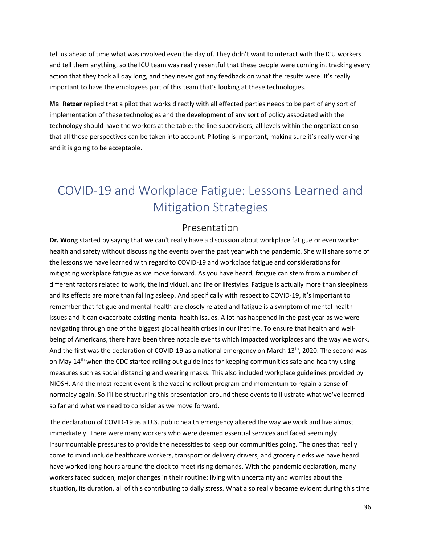tell us ahead of time what was involved even the day of. They didn't want to interact with the ICU workers and tell them anything, so the ICU team was really resentful that these people were coming in, tracking every action that they took all day long, and they never got any feedback on what the results were. It's really important to have the employees part of this team that's looking at these technologies.

**Ms**. **Retzer** replied that a pilot that works directly with all effected parties needs to be part of any sort of implementation of these technologies and the development of any sort of policy associated with the technology should have the workers at the table; the line supervisors, all levels within the organization so that all those perspectives can be taken into account. Piloting is important, making sure it's really working and it is going to be acceptable.

# <span id="page-35-0"></span>COVID-19 and Workplace Fatigue: Lessons Learned and Mitigation Strategies

### Presentation

<span id="page-35-1"></span>**Dr. Wong** started by saying that we can't really have a discussion about workplace fatigue or even worker health and safety without discussing the events over the past year with the pandemic. She will share some of the lessons we have learned with regard to COVID-19 and workplace fatigue and considerations for mitigating workplace fatigue as we move forward. As you have heard, fatigue can stem from a number of different factors related to work, the individual, and life or lifestyles. Fatigue is actually more than sleepiness and its effects are more than falling asleep. And specifically with respect to COVID-19, it's important to remember that fatigue and mental health are closely related and fatigue is a symptom of mental health issues and it can exacerbate existing mental health issues. A lot has happened in the past year as we were navigating through one of the biggest global health crises in our lifetime. To ensure that health and wellbeing of Americans, there have been three notable events which impacted workplaces and the way we work. And the first was the declaration of COVID-19 as a national emergency on March 13<sup>th</sup>, 2020. The second was on May 14<sup>th</sup> when the CDC started rolling out guidelines for keeping communities safe and healthy using measures such as social distancing and wearing masks. This also included workplace guidelines provided by NIOSH. And the most recent event is the vaccine rollout program and momentum to regain a sense of normalcy again. So I'll be structuring this presentation around these events to illustrate what we've learned so far and what we need to consider as we move forward.

The declaration of COVID-19 as a U.S. public health emergency altered the way we work and live almost immediately. There were many workers who were deemed essential services and faced seemingly insurmountable pressures to provide the necessities to keep our communities going. The ones that really come to mind include healthcare workers, transport or delivery drivers, and grocery clerks we have heard have worked long hours around the clock to meet rising demands. With the pandemic declaration, many workers faced sudden, major changes in their routine; living with uncertainty and worries about the situation, its duration, all of this contributing to daily stress. What also really became evident during this time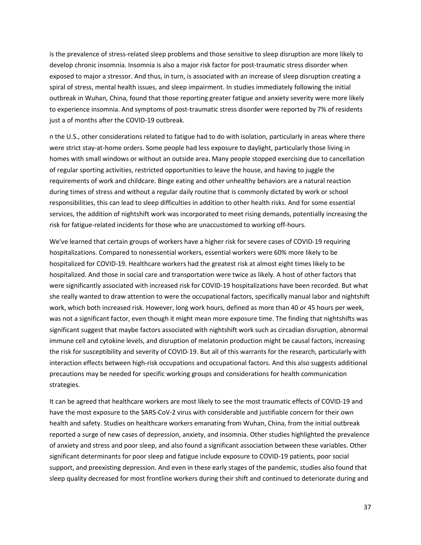is the prevalence of stress-related sleep problems and those sensitive to sleep disruption are more likely to develop chronic insomnia. Insomnia is also a major risk factor for post-traumatic stress disorder when exposed to major a stressor. And thus, in turn, is associated with an increase of sleep disruption creating a spiral of stress, mental health issues, and sleep impairment. In studies immediately following the initial outbreak in Wuhan, China, found that those reporting greater fatigue and anxiety severity were more likely to experience insomnia. And symptoms of post-traumatic stress disorder were reported by 7% of residents just a of months after the COVID-19 outbreak.

n the U.S., other considerations related to fatigue had to do with isolation, particularly in areas where there were strict stay-at-home orders. Some people had less exposure to daylight, particularly those living in homes with small windows or without an outside area. Many people stopped exercising due to cancellation of regular sporting activities, restricted opportunities to leave the house, and having to juggle the requirements of work and childcare. Binge eating and other unhealthy behaviors are a natural reaction during times of stress and without a regular daily routine that is commonly dictated by work or school responsibilities, this can lead to sleep difficulties in addition to other health risks. And for some essential services, the addition of nightshift work was incorporated to meet rising demands, potentially increasing the risk for fatigue-related incidents for those who are unaccustomed to working off-hours.

We've learned that certain groups of workers have a higher risk for severe cases of COVID-19 requiring hospitalizations. Compared to nonessential workers, essential workers were 60% more likely to be hospitalized for COVID-19. Healthcare workers had the greatest risk at almost eight times likely to be hospitalized. And those in social care and transportation were twice as likely. A host of other factors that were significantly associated with increased risk for COVID-19 hospitalizations have been recorded. But what she really wanted to draw attention to were the occupational factors, specifically manual labor and nightshift work, which both increased risk. However, long work hours, defined as more than 40 or 45 hours per week, was not a significant factor, even though it might mean more exposure time. The finding that nightshifts was significant suggest that maybe factors associated with nightshift work such as circadian disruption, abnormal immune cell and cytokine levels, and disruption of melatonin production might be causal factors, increasing the risk for susceptibility and severity of COVID-19. But all of this warrants for the research, particularly with interaction effects between high-risk occupations and occupational factors. And this also suggests additional precautions may be needed for specific working groups and considerations for health communication strategies.

It can be agreed that healthcare workers are most likely to see the most traumatic effects of COVID-19 and have the most exposure to the SARS-CoV-2 virus with considerable and justifiable concern for their own health and safety. Studies on healthcare workers emanating from Wuhan, China, from the initial outbreak reported a surge of new cases of depression, anxiety, and insomnia. Other studies highlighted the prevalence of anxiety and stress and poor sleep, and also found a significant association between these variables. Other significant determinants for poor sleep and fatigue include exposure to COVID-19 patients, poor social support, and preexisting depression. And even in these early stages of the pandemic, studies also found that sleep quality decreased for most frontline workers during their shift and continued to deteriorate during and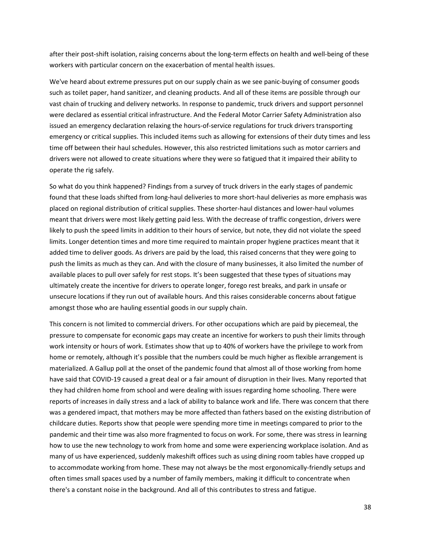after their post-shift isolation, raising concerns about the long-term effects on health and well-being of these workers with particular concern on the exacerbation of mental health issues.

We've heard about extreme pressures put on our supply chain as we see panic-buying of consumer goods such as toilet paper, hand sanitizer, and cleaning products. And all of these items are possible through our vast chain of trucking and delivery networks. In response to pandemic, truck drivers and support personnel were declared as essential critical infrastructure. And the Federal Motor Carrier Safety Administration also issued an emergency declaration relaxing the hours-of-service regulations for truck drivers transporting emergency or critical supplies. This included items such as allowing for extensions of their duty times and less time off between their haul schedules. However, this also restricted limitations such as motor carriers and drivers were not allowed to create situations where they were so fatigued that it impaired their ability to operate the rig safely.

So what do you think happened? Findings from a survey of truck drivers in the early stages of pandemic found that these loads shifted from long-haul deliveries to more short-haul deliveries as more emphasis was placed on regional distribution of critical supplies. These shorter-haul distances and lower-haul volumes meant that drivers were most likely getting paid less. With the decrease of traffic congestion, drivers were likely to push the speed limits in addition to their hours of service, but note, they did not violate the speed limits. Longer detention times and more time required to maintain proper hygiene practices meant that it added time to deliver goods. As drivers are paid by the load, this raised concerns that they were going to push the limits as much as they can. And with the closure of many businesses, it also limited the number of available places to pull over safely for rest stops. It's been suggested that these types of situations may ultimately create the incentive for drivers to operate longer, forego rest breaks, and park in unsafe or unsecure locations if they run out of available hours. And this raises considerable concerns about fatigue amongst those who are hauling essential goods in our supply chain.

This concern is not limited to commercial drivers. For other occupations which are paid by piecemeal, the pressure to compensate for economic gaps may create an incentive for workers to push their limits through work intensity or hours of work. Estimates show that up to 40% of workers have the privilege to work from home or remotely, although it's possible that the numbers could be much higher as flexible arrangement is materialized. A Gallup poll at the onset of the pandemic found that almost all of those working from home have said that COVID-19 caused a great deal or a fair amount of disruption in their lives. Many reported that they had children home from school and were dealing with issues regarding home schooling. There were reports of increases in daily stress and a lack of ability to balance work and life. There was concern that there was a gendered impact, that mothers may be more affected than fathers based on the existing distribution of childcare duties. Reports show that people were spending more time in meetings compared to prior to the pandemic and their time was also more fragmented to focus on work. For some, there was stress in learning how to use the new technology to work from home and some were experiencing workplace isolation. And as many of us have experienced, suddenly makeshift offices such as using dining room tables have cropped up to accommodate working from home. These may not always be the most ergonomically-friendly setups and often times small spaces used by a number of family members, making it difficult to concentrate when there's a constant noise in the background. And all of this contributes to stress and fatigue.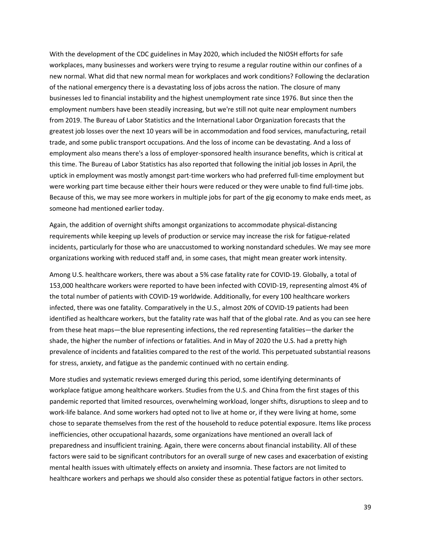With the development of the CDC guidelines in May 2020, which included the NIOSH efforts for safe workplaces, many businesses and workers were trying to resume a regular routine within our confines of a new normal. What did that new normal mean for workplaces and work conditions? Following the declaration of the national emergency there is a devastating loss of jobs across the nation. The closure of many businesses led to financial instability and the highest unemployment rate since 1976. But since then the employment numbers have been steadily increasing, but we're still not quite near employment numbers from 2019. The Bureau of Labor Statistics and the International Labor Organization forecasts that the greatest job losses over the next 10 years will be in accommodation and food services, manufacturing, retail trade, and some public transport occupations. And the loss of income can be devastating. And a loss of employment also means there's a loss of employer-sponsored health insurance benefits, which is critical at this time. The Bureau of Labor Statistics has also reported that following the initial job losses in April, the uptick in employment was mostly amongst part-time workers who had preferred full-time employment but were working part time because either their hours were reduced or they were unable to find full-time jobs. Because of this, we may see more workers in multiple jobs for part of the gig economy to make ends meet, as someone had mentioned earlier today.

Again, the addition of overnight shifts amongst organizations to accommodate physical-distancing requirements while keeping up levels of production or service may increase the risk for fatigue-related incidents, particularly for those who are unaccustomed to working nonstandard schedules. We may see more organizations working with reduced staff and, in some cases, that might mean greater work intensity.

Among U.S. healthcare workers, there was about a 5% case fatality rate for COVID-19. Globally, a total of 153,000 healthcare workers were reported to have been infected with COVID-19, representing almost 4% of the total number of patients with COVID-19 worldwide. Additionally, for every 100 healthcare workers infected, there was one fatality. Comparatively in the U.S., almost 20% of COVID-19 patients had been identified as healthcare workers, but the fatality rate was half that of the global rate. And as you can see here from these heat maps—the blue representing infections, the red representing fatalities—the darker the shade, the higher the number of infections or fatalities. And in May of 2020 the U.S. had a pretty high prevalence of incidents and fatalities compared to the rest of the world. This perpetuated substantial reasons for stress, anxiety, and fatigue as the pandemic continued with no certain ending.

More studies and systematic reviews emerged during this period, some identifying determinants of workplace fatigue among healthcare workers. Studies from the U.S. and China from the first stages of this pandemic reported that limited resources, overwhelming workload, longer shifts, disruptions to sleep and to work-life balance. And some workers had opted not to live at home or, if they were living at home, some chose to separate themselves from the rest of the household to reduce potential exposure. Items like process inefficiencies, other occupational hazards, some organizations have mentioned an overall lack of preparedness and insufficient training. Again, there were concerns about financial instability. All of these factors were said to be significant contributors for an overall surge of new cases and exacerbation of existing mental health issues with ultimately effects on anxiety and insomnia. These factors are not limited to healthcare workers and perhaps we should also consider these as potential fatigue factors in other sectors.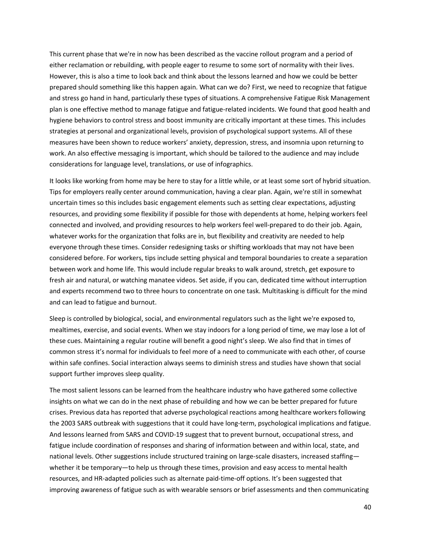This current phase that we're in now has been described as the vaccine rollout program and a period of either reclamation or rebuilding, with people eager to resume to some sort of normality with their lives. However, this is also a time to look back and think about the lessons learned and how we could be better prepared should something like this happen again. What can we do? First, we need to recognize that fatigue and stress go hand in hand, particularly these types of situations. A comprehensive Fatigue Risk Management plan is one effective method to manage fatigue and fatigue-related incidents. We found that good health and hygiene behaviors to control stress and boost immunity are critically important at these times. This includes strategies at personal and organizational levels, provision of psychological support systems. All of these measures have been shown to reduce workers' anxiety, depression, stress, and insomnia upon returning to work. An also effective messaging is important, which should be tailored to the audience and may include considerations for language level, translations, or use of infographics.

It looks like working from home may be here to stay for a little while, or at least some sort of hybrid situation. Tips for employers really center around communication, having a clear plan. Again, we're still in somewhat uncertain times so this includes basic engagement elements such as setting clear expectations, adjusting resources, and providing some flexibility if possible for those with dependents at home, helping workers feel connected and involved, and providing resources to help workers feel well-prepared to do their job. Again, whatever works for the organization that folks are in, but flexibility and creativity are needed to help everyone through these times. Consider redesigning tasks or shifting workloads that may not have been considered before. For workers, tips include setting physical and temporal boundaries to create a separation between work and home life. This would include regular breaks to walk around, stretch, get exposure to fresh air and natural, or watching manatee videos. Set aside, if you can, dedicated time without interruption and experts recommend two to three hours to concentrate on one task. Multitasking is difficult for the mind and can lead to fatigue and burnout.

Sleep is controlled by biological, social, and environmental regulators such as the light we're exposed to, mealtimes, exercise, and social events. When we stay indoors for a long period of time, we may lose a lot of these cues. Maintaining a regular routine will benefit a good night's sleep. We also find that in times of common stress it's normal for individuals to feel more of a need to communicate with each other, of course within safe confines. Social interaction always seems to diminish stress and studies have shown that social support further improves sleep quality.

The most salient lessons can be learned from the healthcare industry who have gathered some collective insights on what we can do in the next phase of rebuilding and how we can be better prepared for future crises. Previous data has reported that adverse psychological reactions among healthcare workers following the 2003 SARS outbreak with suggestions that it could have long-term, psychological implications and fatigue. And lessons learned from SARS and COVID-19 suggest that to prevent burnout, occupational stress, and fatigue include coordination of responses and sharing of information between and within local, state, and national levels. Other suggestions include structured training on large-scale disasters, increased staffing whether it be temporary—to help us through these times, provision and easy access to mental health resources, and HR-adapted policies such as alternate paid-time-off options. It's been suggested that improving awareness of fatigue such as with wearable sensors or brief assessments and then communicating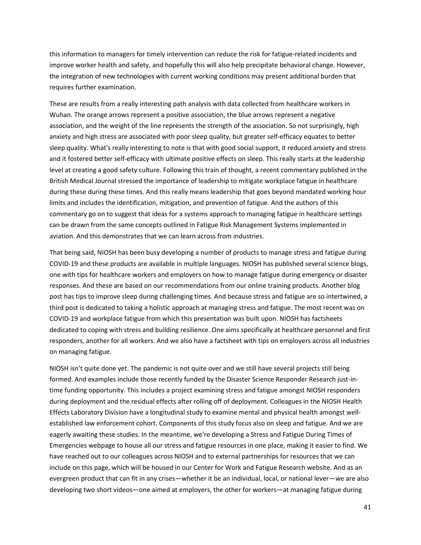this information to managers for timely intervention can reduce the risk for fatigue-related incidents and improve worker health and safety, and hopefully this will also help precipitate behavioral change. However, the integration of new technologies with current working conditions may present additional burden that requires further examination.

These are results from a really interesting path analysis with data collected from healthcare workers in Wuhan. The orange arrows represent a positive association, the blue arrows represent a negative association, and the weight of the line represents the strength of the association. So not surprisingly, high anxiety and high stress are associated with poor sleep quality, but greater self-efficacy equates to better sleep quality. What's really interesting to note is that with good social support, it reduced anxiety and stress and it fostered better self-efficacy with ultimate positive effects on sleep. This really starts at the leadership level at creating a good safety culture. Following this train of thought, a recent commentary published in the British Medical Journal stressed the importance of leadership to mitigate workplace fatigue in healthcare during these during these times. And this really means leadership that goes beyond mandated working hour limits and includes the identification, mitigation, and prevention of fatigue. And the authors of this commentary go on to suggest that ideas for a systems approach to managing fatigue in healthcare settings can be drawn from the same concepts outlined in Fatigue Risk Management Systems implemented in aviation. And this demonstrates that we can learn across from industries.

That being said, NIOSH has been busy developing a number of products to manage stress and fatigue during COVID-19 and these products are available in multiple languages. NIOSH has published several science blogs, one with tips for healthcare workers and employers on how to manage fatigue during emergency or disaster responses. And these are based on our recommendations from our online training products. Another blog post has tips to improve sleep during challenging times. And because stress and fatigue are so intertwined, a third post is dedicated to taking a holistic approach at managing stress and fatigue. The most recent was on COVID-19 and workplace fatigue from which this presentation was built upon. NIOSH has factsheets dedicated to coping with stress and building resilience. One aims specifically at healthcare personnel and first responders, another for all workers. And we also have a factsheet with tips on employers across all industries on managing fatigue.

NIOSH isn't quite done yet. The pandemic is not quite over and we still have several projects still being formed. And examples include those recently funded by the Disaster Science Responder Research just-intime funding opportunity. This includes a project examining stress and fatigue amongst NIOSH responders during deployment and the residual effects after rolling off of deployment. Colleagues in the NIOSH Health Effects Laboratory Division have a longitudinal study to examine mental and physical health amongst wellestablished law enforcement cohort. Components of this study focus also on sleep and fatigue. And we are eagerly awaiting these studies. In the meantime, we're developing a Stress and Fatigue During Times of Emergencies webpage to house all our stress and fatigue resources in one place, making it easier to find. We have reached out to our colleagues across NIOSH and to external partnerships for resources that we can include on this page, which will be housed in our Center for Work and Fatigue Research website. And as an evergreen product that can fit in any crises—whether it be an individual, local, or national lever—we are also developing two short videos—one aimed at employers, the other for workers—at managing fatigue during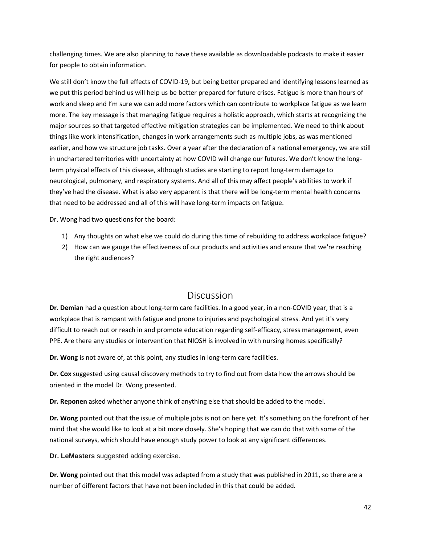challenging times. We are also planning to have these available as downloadable podcasts to make it easier for people to obtain information.

We still don't know the full effects of COVID-19, but being better prepared and identifying lessons learned as we put this period behind us will help us be better prepared for future crises. Fatigue is more than hours of work and sleep and I'm sure we can add more factors which can contribute to workplace fatigue as we learn more. The key message is that managing fatigue requires a holistic approach, which starts at recognizing the major sources so that targeted effective mitigation strategies can be implemented. We need to think about things like work intensification, changes in work arrangements such as multiple jobs, as was mentioned earlier, and how we structure job tasks. Over a year after the declaration of a national emergency, we are still in unchartered territories with uncertainty at how COVID will change our futures. We don't know the longterm physical effects of this disease, although studies are starting to report long-term damage to neurological, pulmonary, and respiratory systems. And all of this may affect people's abilities to work if they've had the disease. What is also very apparent is that there will be long-term mental health concerns that need to be addressed and all of this will have long-term impacts on fatigue.

Dr. Wong had two questions for the board:

- 1) Any thoughts on what else we could do during this time of rebuilding to address workplace fatigue?
- 2) How can we gauge the effectiveness of our products and activities and ensure that we're reaching the right audiences?

### Discussion

<span id="page-41-0"></span>**Dr. Demian** had a question about long-term care facilities. In a good year, in a non-COVID year, that is a workplace that is rampant with fatigue and prone to injuries and psychological stress. And yet it's very difficult to reach out or reach in and promote education regarding self-efficacy, stress management, even PPE. Are there any studies or intervention that NIOSH is involved in with nursing homes specifically?

**Dr. Wong** is not aware of, at this point, any studies in long-term care facilities.

**Dr. Cox** suggested using causal discovery methods to try to find out from data how the arrows should be oriented in the model Dr. Wong presented.

**Dr. Reponen** asked whether anyone think of anything else that should be added to the model.

**Dr. Wong** pointed out that the issue of multiple jobs is not on here yet. It's something on the forefront of her mind that she would like to look at a bit more closely. She's hoping that we can do that with some of the national surveys, which should have enough study power to look at any significant differences.

**Dr. LeMasters** suggested adding exercise.

**Dr. Wong** pointed out that this model was adapted from a study that was published in 2011, so there are a number of different factors that have not been included in this that could be added.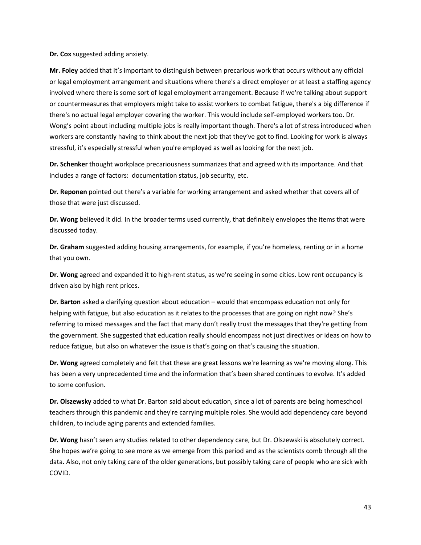**Dr. Cox** suggested adding anxiety.

**Mr. Foley** added that it's important to distinguish between precarious work that occurs without any official or legal employment arrangement and situations where there's a direct employer or at least a staffing agency involved where there is some sort of legal employment arrangement. Because if we're talking about support or countermeasures that employers might take to assist workers to combat fatigue, there's a big difference if there's no actual legal employer covering the worker. This would include self-employed workers too. Dr. Wong's point about including multiple jobs is really important though. There's a lot of stress introduced when workers are constantly having to think about the next job that they've got to find. Looking for work is always stressful, it's especially stressful when you're employed as well as looking for the next job.

**Dr. Schenker** thought workplace precariousness summarizes that and agreed with its importance. And that includes a range of factors: documentation status, job security, etc.

**Dr. Reponen** pointed out there's a variable for working arrangement and asked whether that covers all of those that were just discussed.

**Dr. Wong** believed it did. In the broader terms used currently, that definitely envelopes the items that were discussed today.

**Dr. Graham** suggested adding housing arrangements, for example, if you're homeless, renting or in a home that you own.

**Dr. Wong** agreed and expanded it to high-rent status, as we're seeing in some cities. Low rent occupancy is driven also by high rent prices.

**Dr. Barton** asked a clarifying question about education – would that encompass education not only for helping with fatigue, but also education as it relates to the processes that are going on right now? She's referring to mixed messages and the fact that many don't really trust the messages that they're getting from the government. She suggested that education really should encompass not just directives or ideas on how to reduce fatigue, but also on whatever the issue is that's going on that's causing the situation.

**Dr. Wong** agreed completely and felt that these are great lessons we're learning as we're moving along. This has been a very unprecedented time and the information that's been shared continues to evolve. It's added to some confusion.

**Dr. Olszewsky** added to what Dr. Barton said about education, since a lot of parents are being homeschool teachers through this pandemic and they're carrying multiple roles. She would add dependency care beyond children, to include aging parents and extended families.

**Dr. Wong** hasn't seen any studies related to other dependency care, but Dr. Olszewski is absolutely correct. She hopes we're going to see more as we emerge from this period and as the scientists comb through all the data. Also, not only taking care of the older generations, but possibly taking care of people who are sick with COVID.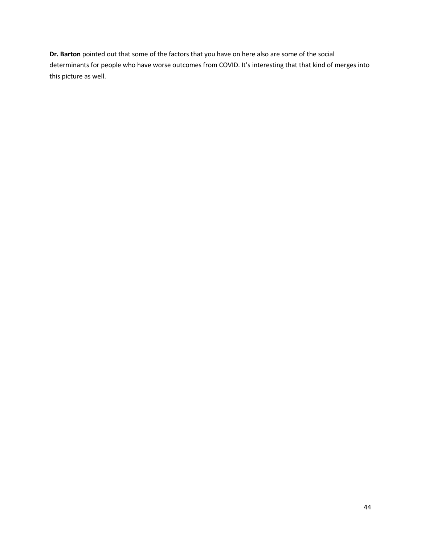**Dr. Barton** pointed out that some of the factors that you have on here also are some of the social determinants for people who have worse outcomes from COVID. It's interesting that that kind of merges into this picture as well.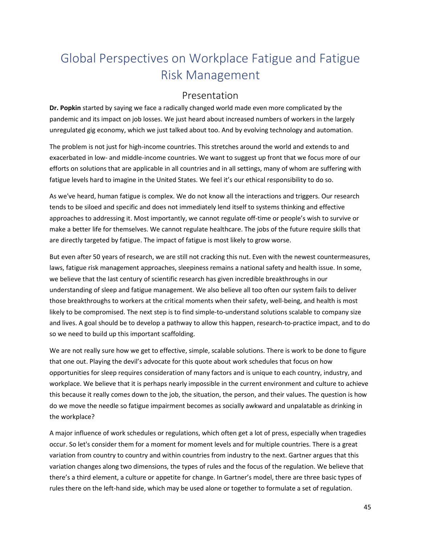# <span id="page-44-0"></span>Global Perspectives on Workplace Fatigue and Fatigue Risk Management

### Presentation

<span id="page-44-1"></span>**Dr. Popkin** started by saying we face a radically changed world made even more complicated by the pandemic and its impact on job losses. We just heard about increased numbers of workers in the largely unregulated gig economy, which we just talked about too. And by evolving technology and automation.

The problem is not just for high-income countries. This stretches around the world and extends to and exacerbated in low- and middle-income countries. We want to suggest up front that we focus more of our efforts on solutions that are applicable in all countries and in all settings, many of whom are suffering with fatigue levels hard to imagine in the United States. We feel it's our ethical responsibility to do so.

As we've heard, human fatigue is complex. We do not know all the interactions and triggers. Our research tends to be siloed and specific and does not immediately lend itself to systems thinking and effective approaches to addressing it. Most importantly, we cannot regulate off-time or people's wish to survive or make a better life for themselves. We cannot regulate healthcare. The jobs of the future require skills that are directly targeted by fatigue. The impact of fatigue is most likely to grow worse.

But even after 50 years of research, we are still not cracking this nut. Even with the newest countermeasures, laws, fatigue risk management approaches, sleepiness remains a national safety and health issue. In some, we believe that the last century of scientific research has given incredible breakthroughs in our understanding of sleep and fatigue management. We also believe all too often our system fails to deliver those breakthroughs to workers at the critical moments when their safety, well-being, and health is most likely to be compromised. The next step is to find simple-to-understand solutions scalable to company size and lives. A goal should be to develop a pathway to allow this happen, research-to-practice impact, and to do so we need to build up this important scaffolding.

We are not really sure how we get to effective, simple, scalable solutions. There is work to be done to figure that one out. Playing the devil's advocate for this quote about work schedules that focus on how opportunities for sleep requires consideration of many factors and is unique to each country, industry, and workplace. We believe that it is perhaps nearly impossible in the current environment and culture to achieve this because it really comes down to the job, the situation, the person, and their values. The question is how do we move the needle so fatigue impairment becomes as socially awkward and unpalatable as drinking in the workplace?

A major influence of work schedules or regulations, which often get a lot of press, especially when tragedies occur. So let's consider them for a moment for moment levels and for multiple countries. There is a great variation from country to country and within countries from industry to the next. Gartner argues that this variation changes along two dimensions, the types of rules and the focus of the regulation. We believe that there's a third element, a culture or appetite for change. In Gartner's model, there are three basic types of rules there on the left-hand side, which may be used alone or together to formulate a set of regulation.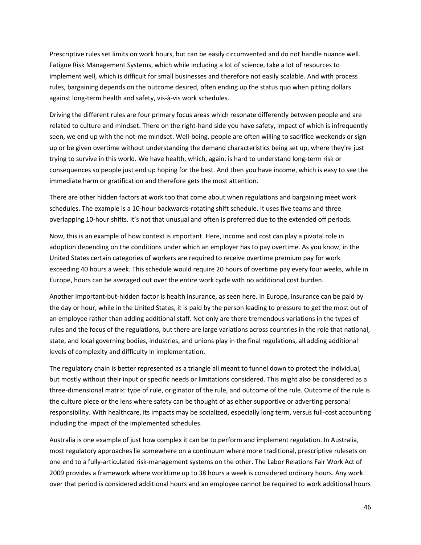Prescriptive rules set limits on work hours, but can be easily circumvented and do not handle nuance well. Fatigue Risk Management Systems, which while including a lot of science, take a lot of resources to implement well, which is difficult for small businesses and therefore not easily scalable. And with process rules, bargaining depends on the outcome desired, often ending up the status quo when pitting dollars against long-term health and safety, vis-à-vis work schedules.

Driving the different rules are four primary focus areas which resonate differently between people and are related to culture and mindset. There on the right-hand side you have safety, impact of which is infrequently seen, we end up with the not-me mindset. Well-being, people are often willing to sacrifice weekends or sign up or be given overtime without understanding the demand characteristics being set up, where they're just trying to survive in this world. We have health, which, again, is hard to understand long-term risk or consequences so people just end up hoping for the best. And then you have income, which is easy to see the immediate harm or gratification and therefore gets the most attention.

There are other hidden factors at work too that come about when regulations and bargaining meet work schedules. The example is a 10-hour backwards-rotating shift schedule. It uses five teams and three overlapping 10-hour shifts. It's not that unusual and often is preferred due to the extended off periods.

Now, this is an example of how context is important. Here, income and cost can play a pivotal role in adoption depending on the conditions under which an employer has to pay overtime. As you know, in the United States certain categories of workers are required to receive overtime premium pay for work exceeding 40 hours a week. This schedule would require 20 hours of overtime pay every four weeks, while in Europe, hours can be averaged out over the entire work cycle with no additional cost burden.

Another important-but-hidden factor is health insurance, as seen here. In Europe, insurance can be paid by the day or hour, while in the United States, it is paid by the person leading to pressure to get the most out of an employee rather than adding additional staff. Not only are there tremendous variations in the types of rules and the focus of the regulations, but there are large variations across countries in the role that national, state, and local governing bodies, industries, and unions play in the final regulations, all adding additional levels of complexity and difficulty in implementation.

The regulatory chain is better represented as a triangle all meant to funnel down to protect the individual, but mostly without their input or specific needs or limitations considered. This might also be considered as a three-dimensional matrix: type of rule, originator of the rule, and outcome of the rule. Outcome of the rule is the culture piece or the lens where safety can be thought of as either supportive or adverting personal responsibility. With healthcare, its impacts may be socialized, especially long term, versus full-cost accounting including the impact of the implemented schedules.

Australia is one example of just how complex it can be to perform and implement regulation. In Australia, most regulatory approaches lie somewhere on a continuum where more traditional, prescriptive rulesets on one end to a fully-articulated risk-management systems on the other. The Labor Relations Fair Work Act of 2009 provides a framework where worktime up to 38 hours a week is considered ordinary hours. Any work over that period is considered additional hours and an employee cannot be required to work additional hours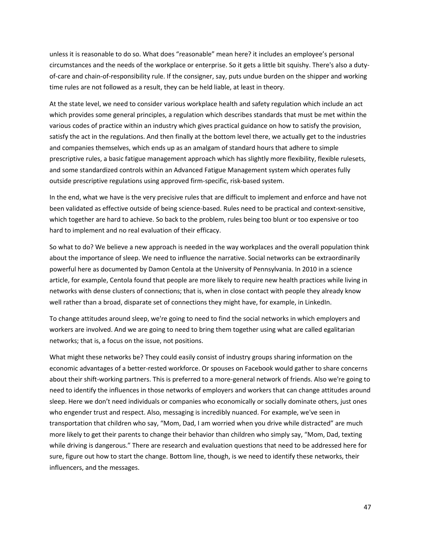unless it is reasonable to do so. What does "reasonable" mean here? it includes an employee's personal circumstances and the needs of the workplace or enterprise. So it gets a little bit squishy. There's also a dutyof-care and chain-of-responsibility rule. If the consigner, say, puts undue burden on the shipper and working time rules are not followed as a result, they can be held liable, at least in theory.

At the state level, we need to consider various workplace health and safety regulation which include an act which provides some general principles, a regulation which describes standards that must be met within the various codes of practice within an industry which gives practical guidance on how to satisfy the provision, satisfy the act in the regulations. And then finally at the bottom level there, we actually get to the industries and companies themselves, which ends up as an amalgam of standard hours that adhere to simple prescriptive rules, a basic fatigue management approach which has slightly more flexibility, flexible rulesets, and some standardized controls within an Advanced Fatigue Management system which operates fully outside prescriptive regulations using approved firm-specific, risk-based system.

In the end, what we have is the very precisive rules that are difficult to implement and enforce and have not been validated as effective outside of being science-based. Rules need to be practical and context-sensitive, which together are hard to achieve. So back to the problem, rules being too blunt or too expensive or too hard to implement and no real evaluation of their efficacy.

So what to do? We believe a new approach is needed in the way workplaces and the overall population think about the importance of sleep. We need to influence the narrative. Social networks can be extraordinarily powerful here as documented by Damon Centola at the University of Pennsylvania. In 2010 in a science article, for example, Centola found that people are more likely to require new health practices while living in networks with dense clusters of connections; that is, when in close contact with people they already know well rather than a broad, disparate set of connections they might have, for example, in LinkedIn.

To change attitudes around sleep, we're going to need to find the social networks in which employers and workers are involved. And we are going to need to bring them together using what are called egalitarian networks; that is, a focus on the issue, not positions.

What might these networks be? They could easily consist of industry groups sharing information on the economic advantages of a better-rested workforce. Or spouses on Facebook would gather to share concerns about their shift-working partners. This is preferred to a more-general network of friends. Also we're going to need to identify the influences in those networks of employers and workers that can change attitudes around sleep. Here we don't need individuals or companies who economically or socially dominate others, just ones who engender trust and respect. Also, messaging is incredibly nuanced. For example, we've seen in transportation that children who say, "Mom, Dad, I am worried when you drive while distracted" are much more likely to get their parents to change their behavior than children who simply say, "Mom, Dad, texting while driving is dangerous." There are research and evaluation questions that need to be addressed here for sure, figure out how to start the change. Bottom line, though, is we need to identify these networks, their influencers, and the messages.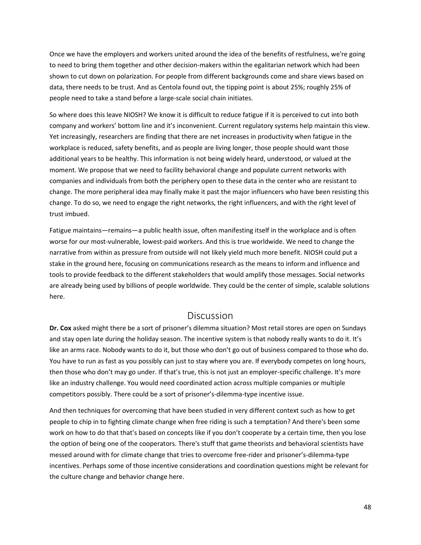Once we have the employers and workers united around the idea of the benefits of restfulness, we're going to need to bring them together and other decision-makers within the egalitarian network which had been shown to cut down on polarization. For people from different backgrounds come and share views based on data, there needs to be trust. And as Centola found out, the tipping point is about 25%; roughly 25% of people need to take a stand before a large-scale social chain initiates.

So where does this leave NIOSH? We know it is difficult to reduce fatigue if it is perceived to cut into both company and workers' bottom line and it's inconvenient. Current regulatory systems help maintain this view. Yet increasingly, researchers are finding that there are net increases in productivity when fatigue in the workplace is reduced, safety benefits, and as people are living longer, those people should want those additional years to be healthy. This information is not being widely heard, understood, or valued at the moment. We propose that we need to facility behavioral change and populate current networks with companies and individuals from both the periphery open to these data in the center who are resistant to change. The more peripheral idea may finally make it past the major influencers who have been resisting this change. To do so, we need to engage the right networks, the right influencers, and with the right level of trust imbued.

Fatigue maintains—remains—a public health issue, often manifesting itself in the workplace and is often worse for our most-vulnerable, lowest-paid workers. And this is true worldwide. We need to change the narrative from within as pressure from outside will not likely yield much more benefit. NIOSH could put a stake in the ground here, focusing on communications research as the means to inform and influence and tools to provide feedback to the different stakeholders that would amplify those messages. Social networks are already being used by billions of people worldwide. They could be the center of simple, scalable solutions here.

#### Discussion

<span id="page-47-0"></span>**Dr. Cox** asked might there be a sort of prisoner's dilemma situation? Most retail stores are open on Sundays and stay open late during the holiday season. The incentive system is that nobody really wants to do it. It's like an arms race. Nobody wants to do it, but those who don't go out of business compared to those who do. You have to run as fast as you possibly can just to stay where you are. If everybody competes on long hours, then those who don't may go under. If that's true, this is not just an employer-specific challenge. It's more like an industry challenge. You would need coordinated action across multiple companies or multiple competitors possibly. There could be a sort of prisoner's-dilemma-type incentive issue.

And then techniques for overcoming that have been studied in very different context such as how to get people to chip in to fighting climate change when free riding is such a temptation? And there's been some work on how to do that that's based on concepts like if you don't cooperate by a certain time, then you lose the option of being one of the cooperators. There's stuff that game theorists and behavioral scientists have messed around with for climate change that tries to overcome free-rider and prisoner's-dilemma-type incentives. Perhaps some of those incentive considerations and coordination questions might be relevant for the culture change and behavior change here.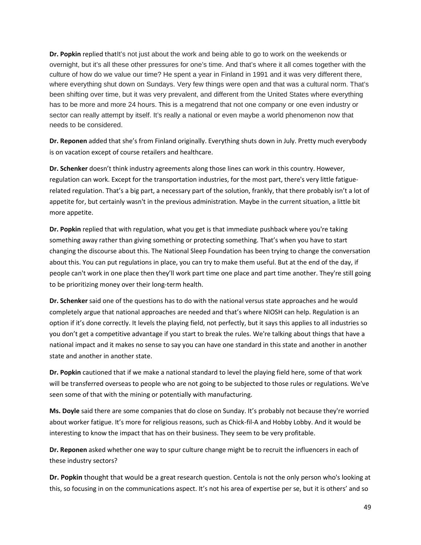**Dr. Popkin** replied thatIt's not just about the work and being able to go to work on the weekends or overnight, but it's all these other pressures for one's time. And that's where it all comes together with the culture of how do we value our time? He spent a year in Finland in 1991 and it was very different there, where everything shut down on Sundays. Very few things were open and that was a cultural norm. That's been shifting over time, but it was very prevalent, and different from the United States where everything has to be more and more 24 hours. This is a megatrend that not one company or one even industry or sector can really attempt by itself. It's really a national or even maybe a world phenomenon now that needs to be considered.

**Dr. Reponen** added that she's from Finland originally. Everything shuts down in July. Pretty much everybody is on vacation except of course retailers and healthcare.

**Dr. Schenker** doesn't think industry agreements along those lines can work in this country. However, regulation can work. Except for the transportation industries, for the most part, there's very little fatiguerelated regulation. That's a big part, a necessary part of the solution, frankly, that there probably isn't a lot of appetite for, but certainly wasn't in the previous administration. Maybe in the current situation, a little bit more appetite.

**Dr. Popkin** replied that with regulation, what you get is that immediate pushback where you're taking something away rather than giving something or protecting something. That's when you have to start changing the discourse about this. The National Sleep Foundation has been trying to change the conversation about this. You can put regulations in place, you can try to make them useful. But at the end of the day, if people can't work in one place then they'll work part time one place and part time another. They're still going to be prioritizing money over their long-term health.

**Dr. Schenker** said one of the questions has to do with the national versus state approaches and he would completely argue that national approaches are needed and that's where NIOSH can help. Regulation is an option if it's done correctly. It levels the playing field, not perfectly, but it says this applies to all industries so you don't get a competitive advantage if you start to break the rules. We're talking about things that have a national impact and it makes no sense to say you can have one standard in this state and another in another state and another in another state.

**Dr. Popkin** cautioned that if we make a national standard to level the playing field here, some of that work will be transferred overseas to people who are not going to be subjected to those rules or regulations. We've seen some of that with the mining or potentially with manufacturing.

**Ms. Doyle** said there are some companies that do close on Sunday. It's probably not because they're worried about worker fatigue. It's more for religious reasons, such as Chick-fil-A and Hobby Lobby. And it would be interesting to know the impact that has on their business. They seem to be very profitable.

**Dr. Reponen** asked whether one way to spur culture change might be to recruit the influencers in each of these industry sectors?

**Dr. Popkin** thought that would be a great research question. Centola is not the only person who's looking at this, so focusing in on the communications aspect. It's not his area of expertise per se, but it is others' and so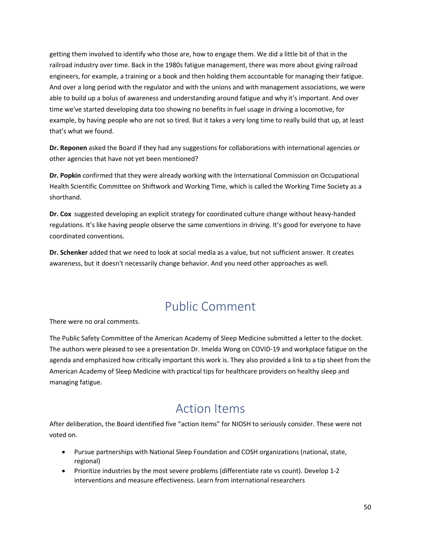getting them involved to identify who those are, how to engage them. We did a little bit of that in the railroad industry over time. Back in the 1980s fatigue management, there was more about giving railroad engineers, for example, a training or a book and then holding them accountable for managing their fatigue. And over a long period with the regulator and with the unions and with management associations, we were able to build up a bolus of awareness and understanding around fatigue and why it's important. And over time we've started developing data too showing no benefits in fuel usage in driving a locomotive, for example, by having people who are not so tired. But it takes a very long time to really build that up, at least that's what we found.

**Dr. Reponen** asked the Board if they had any suggestions for collaborations with international agencies or other agencies that have not yet been mentioned?

**Dr. Popkin** confirmed that they were already working with the International Commission on Occupational Health Scientific Committee on Shiftwork and Working Time, which is called the Working Time Society as a shorthand.

**Dr. Cox** suggested developing an explicit strategy for coordinated culture change without heavy-handed regulations. It's like having people observe the same conventions in driving. It's good for everyone to have coordinated conventions.

**Dr. Schenker** added that we need to look at social media as a value, but not sufficient answer. It creates awareness, but it doesn't necessarily change behavior. And you need other approaches as well.

## Public Comment

<span id="page-49-0"></span>There were no oral comments.

The Public Safety Committee of the American Academy of Sleep Medicine submitted a letter to the docket. The authors were pleased to see a presentation Dr. Imelda Wong on COVID-19 and workplace fatigue on the agenda and emphasized how critically important this work is. They also provided a link to a tip sheet from the American Academy of Sleep Medicine with practical tips for healthcare providers on healthy sleep and managing fatigue.

## Action Items

<span id="page-49-1"></span>After deliberation, the Board identified five "action items" for NIOSH to seriously consider. These were not voted on.

- Pursue partnerships with National Sleep Foundation and COSH organizations (national, state, regional)
- Prioritize industries by the most severe problems (differentiate rate vs count). Develop 1-2 interventions and measure effectiveness. Learn from international researchers